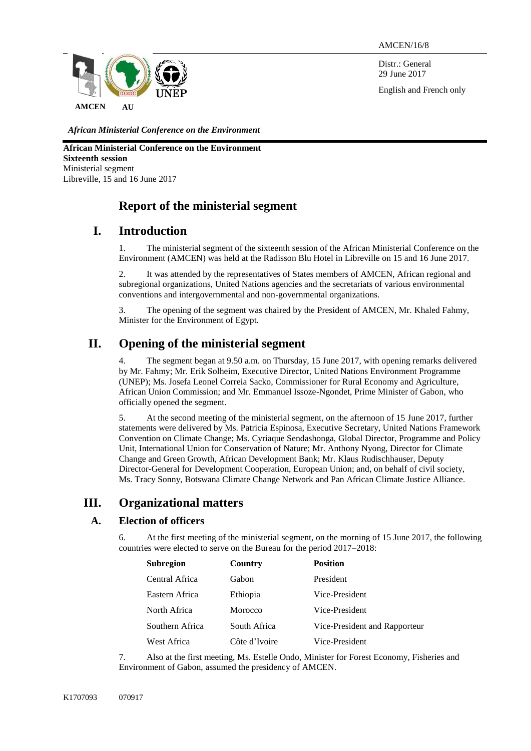AMCEN/16/8

Distr.: General 29 June 2017

English and French only



*African Ministerial Conference on the Environment*

**African Ministerial Conference on the Environment Sixteenth session** Ministerial segment Libreville, 15 and 16 June 2017

# **Report of the ministerial segment**

# **I. Introduction**

1. The ministerial segment of the sixteenth session of the African Ministerial Conference on the Environment (AMCEN) was held at the Radisson Blu Hotel in Libreville on 15 and 16 June 2017.

2. It was attended by the representatives of States members of AMCEN, African regional and subregional organizations, United Nations agencies and the secretariats of various environmental conventions and intergovernmental and non-governmental organizations.

3. The opening of the segment was chaired by the President of AMCEN, Mr. Khaled Fahmy, Minister for the Environment of Egypt.

# **II. Opening of the ministerial segment**

4. The segment began at 9.50 a.m. on Thursday, 15 June 2017, with opening remarks delivered by Mr. Fahmy; Mr. Erik Solheim, Executive Director, United Nations Environment Programme (UNEP); Ms. Josefa Leonel Correia Sacko, Commissioner for Rural Economy and Agriculture, African Union Commission; and Mr. Emmanuel Issoze-Ngondet, Prime Minister of Gabon, who officially opened the segment.

5. At the second meeting of the ministerial segment, on the afternoon of 15 June 2017, further statements were delivered by Ms. Patricia Espinosa, Executive Secretary, United Nations Framework Convention on Climate Change; Ms. Cyriaque Sendashonga, Global Director, Programme and Policy Unit, International Union for Conservation of Nature; Mr. Anthony Nyong, Director for Climate Change and Green Growth, African Development Bank; Mr. Klaus Rudischhauser, Deputy Director-General for Development Cooperation, European Union; and, on behalf of civil society, Ms. Tracy Sonny, Botswana Climate Change Network and Pan African Climate Justice Alliance.

# **III. Organizational matters**

## **A. Election of officers**

6. At the first meeting of the ministerial segment, on the morning of 15 June 2017, the following countries were elected to serve on the Bureau for the period 2017–2018:

| <b>Subregion</b> | Country       | <b>Position</b>               |
|------------------|---------------|-------------------------------|
| Central Africa   | Gabon         | President                     |
| Eastern Africa   | Ethiopia      | Vice-President                |
| North Africa     | Morocco       | Vice-President                |
| Southern Africa  | South Africa  | Vice-President and Rapporteur |
| West Africa      | Côte d'Ivoire | Vice-President                |

7. Also at the first meeting, Ms. Estelle Ondo, Minister for Forest Economy, Fisheries and Environment of Gabon, assumed the presidency of AMCEN.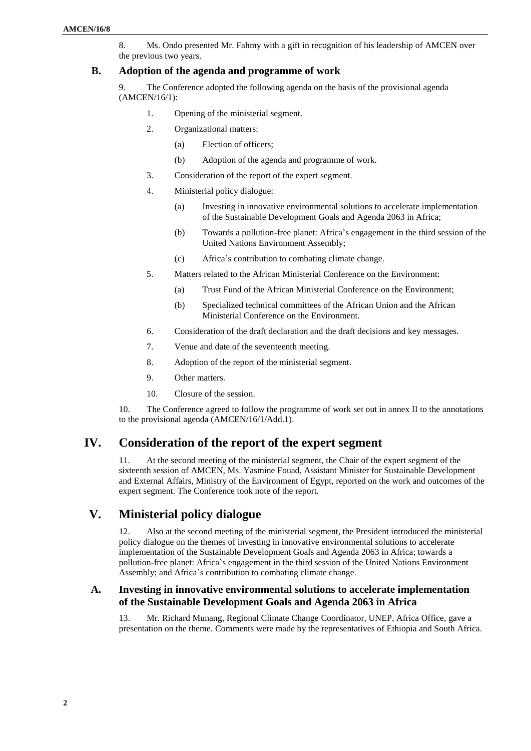8. Ms. Ondo presented Mr. Fahmy with a gift in recognition of his leadership of AMCEN over the previous two years.

#### **B. Adoption of the agenda and programme of work**

9. The Conference adopted the following agenda on the basis of the provisional agenda (AMCEN/16/1):

- 1. Opening of the ministerial segment.
- 2. Organizational matters:
	- (a) Election of officers;
	- (b) Adoption of the agenda and programme of work.
- 3. Consideration of the report of the expert segment.
- 4. Ministerial policy dialogue:
	- (a) Investing in innovative environmental solutions to accelerate implementation of the Sustainable Development Goals and Agenda 2063 in Africa;
	- (b) Towards a pollution-free planet: Africa's engagement in the third session of the United Nations Environment Assembly;
	- (c) Africa's contribution to combating climate change.
- 5. Matters related to the African Ministerial Conference on the Environment:
	- (a) Trust Fund of the African Ministerial Conference on the Environment;
	- (b) Specialized technical committees of the African Union and the African Ministerial Conference on the Environment.
- 6. Consideration of the draft declaration and the draft decisions and key messages.
- 7. Venue and date of the seventeenth meeting.
- 8. Adoption of the report of the ministerial segment.
- 9. Other matters.
- 10. Closure of the session.

10. The Conference agreed to follow the programme of work set out in annex II to the annotations to the provisional agenda (AMCEN/16/1/Add.1).

## **IV. Consideration of the report of the expert segment**

11. At the second meeting of the ministerial segment, the Chair of the expert segment of the sixteenth session of AMCEN, Ms. Yasmine Fouad, Assistant Minister for Sustainable Development and External Affairs, Ministry of the Environment of Egypt, reported on the work and outcomes of the expert segment. The Conference took note of the report.

# **V. Ministerial policy dialogue**

12. Also at the second meeting of the ministerial segment, the President introduced the ministerial policy dialogue on the themes of investing in innovative environmental solutions to accelerate implementation of the Sustainable Development Goals and Agenda 2063 in Africa; towards a pollution-free planet: Africa's engagement in the third session of the United Nations Environment Assembly; and Africa's contribution to combating climate change.

#### **A. Investing in innovative environmental solutions to accelerate implementation of the Sustainable Development Goals and Agenda 2063 in Africa**

13. Mr. Richard Munang, Regional Climate Change Coordinator, UNEP, Africa Office, gave a presentation on the theme. Comments were made by the representatives of Ethiopia and South Africa.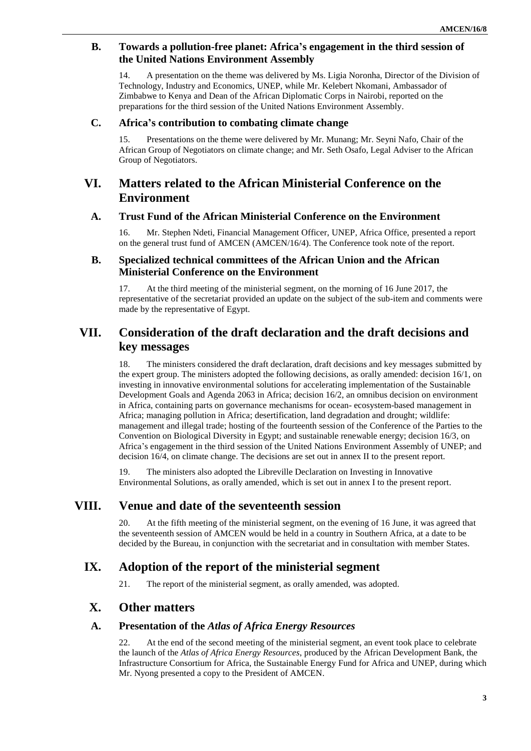### **B. Towards a pollution-free planet: Africa's engagement in the third session of the United Nations Environment Assembly**

14. A presentation on the theme was delivered by Ms. Ligia Noronha, Director of the Division of Technology, Industry and Economics, UNEP, while Mr. Kelebert Nkomani, Ambassador of Zimbabwe to Kenya and Dean of the African Diplomatic Corps in Nairobi, reported on the preparations for the third session of the United Nations Environment Assembly.

#### **C. Africa's contribution to combating climate change**

15. Presentations on the theme were delivered by Mr. Munang; Mr. Seyni Nafo, Chair of the African Group of Negotiators on climate change; and Mr. Seth Osafo, Legal Adviser to the African Group of Negotiators.

# **VI. Matters related to the African Ministerial Conference on the Environment**

#### **A. Trust Fund of the African Ministerial Conference on the Environment**

16. Mr. Stephen Ndeti, Financial Management Officer, UNEP, Africa Office, presented a report on the general trust fund of AMCEN (AMCEN/16/4). The Conference took note of the report.

### **B. Specialized technical committees of the African Union and the African Ministerial Conference on the Environment**

17. At the third meeting of the ministerial segment, on the morning of 16 June 2017, the representative of the secretariat provided an update on the subject of the sub-item and comments were made by the representative of Egypt.

# **VII. Consideration of the draft declaration and the draft decisions and key messages**

18. The ministers considered the draft declaration, draft decisions and key messages submitted by the expert group. The ministers adopted the following decisions, as orally amended: decision 16/1, on investing in innovative environmental solutions for accelerating implementation of the Sustainable Development Goals and Agenda 2063 in Africa; decision 16/2, an omnibus decision on environment in Africa, containing parts on governance mechanisms for ocean- ecosystem-based management in Africa; managing pollution in Africa; desertification, land degradation and drought; wildlife: management and illegal trade; hosting of the fourteenth session of the Conference of the Parties to the Convention on Biological Diversity in Egypt; and sustainable renewable energy; decision 16/3, on Africa's engagement in the third session of the United Nations Environment Assembly of UNEP; and decision 16/4, on climate change. The decisions are set out in annex II to the present report.

19. The ministers also adopted the Libreville Declaration on Investing in Innovative Environmental Solutions, as orally amended, which is set out in annex I to the present report.

## **VIII. Venue and date of the seventeenth session**

20. At the fifth meeting of the ministerial segment, on the evening of 16 June, it was agreed that the seventeenth session of AMCEN would be held in a country in Southern Africa, at a date to be decided by the Bureau, in conjunction with the secretariat and in consultation with member States.

## **IX. Adoption of the report of the ministerial segment**

21. The report of the ministerial segment, as orally amended, was adopted.

# **X. Other matters**

#### **A. Presentation of the** *Atlas of Africa Energy Resources*

22. At the end of the second meeting of the ministerial segment, an event took place to celebrate the launch of the *Atlas of Africa Energy Resources*, produced by the African Development Bank, the Infrastructure Consortium for Africa, the Sustainable Energy Fund for Africa and UNEP, during which Mr. Nyong presented a copy to the President of AMCEN.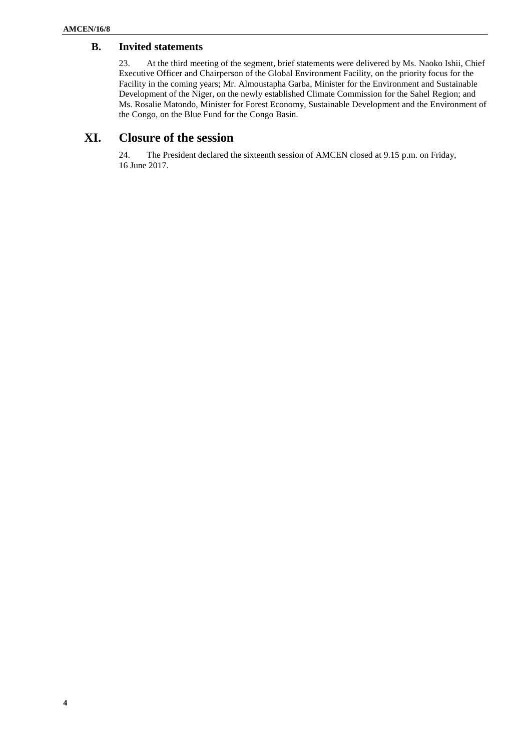### **B. Invited statements**

23. At the third meeting of the segment, brief statements were delivered by Ms. Naoko Ishii, Chief Executive Officer and Chairperson of the Global Environment Facility, on the priority focus for the Facility in the coming years; Mr. Almoustapha Garba, Minister for the Environment and Sustainable Development of the Niger, on the newly established Climate Commission for the Sahel Region; and Ms. Rosalie Matondo, Minister for Forest Economy, Sustainable Development and the Environment of the Congo, on the Blue Fund for the Congo Basin.

# **XI. Closure of the session**

24. The President declared the sixteenth session of AMCEN closed at 9.15 p.m. on Friday, 16 June 2017.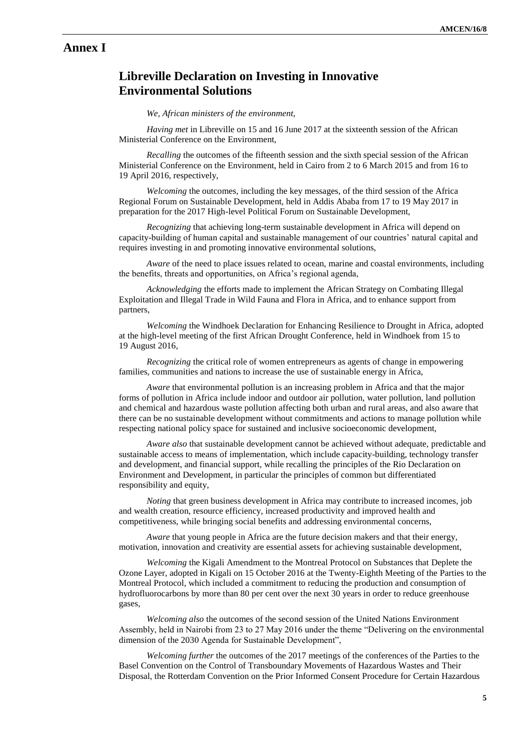## **Annex I**

# **Libreville Declaration on Investing in Innovative Environmental Solutions**

#### *We, African ministers of the environment,*

*Having met* in Libreville on 15 and 16 June 2017 at the sixteenth session of the African Ministerial Conference on the Environment,

*Recalling* the outcomes of the fifteenth session and the sixth special session of the African Ministerial Conference on the Environment, held in Cairo from 2 to 6 March 2015 and from 16 to 19 April 2016, respectively,

*Welcoming* the outcomes, including the key messages, of the third session of the Africa Regional Forum on Sustainable Development, held in Addis Ababa from 17 to 19 May 2017 in preparation for the 2017 High-level Political Forum on Sustainable Development,

*Recognizing* that achieving long-term sustainable development in Africa will depend on capacity-building of human capital and sustainable management of our countries' natural capital and requires investing in and promoting innovative environmental solutions,

*Aware* of the need to place issues related to ocean, marine and coastal environments, including the benefits, threats and opportunities, on Africa's regional agenda,

*Acknowledging* the efforts made to implement the African Strategy on Combating Illegal Exploitation and Illegal Trade in Wild Fauna and Flora in Africa, and to enhance support from partners,

*Welcoming* the Windhoek Declaration for Enhancing Resilience to Drought in Africa, adopted at the high-level meeting of the first African Drought Conference, held in Windhoek from 15 to 19 August 2016,

*Recognizing* the critical role of women entrepreneurs as agents of change in empowering families, communities and nations to increase the use of sustainable energy in Africa,

*Aware* that environmental pollution is an increasing problem in Africa and that the major forms of pollution in Africa include indoor and outdoor air pollution, water pollution, land pollution and chemical and hazardous waste pollution affecting both urban and rural areas, and also aware that there can be no sustainable development without commitments and actions to manage pollution while respecting national policy space for sustained and inclusive socioeconomic development,

*Aware also* that sustainable development cannot be achieved without adequate, predictable and sustainable access to means of implementation, which include capacity-building, technology transfer and development, and financial support, while recalling the principles of the Rio Declaration on Environment and Development, in particular the principles of common but differentiated responsibility and equity,

*Noting* that green business development in Africa may contribute to increased incomes, job and wealth creation, resource efficiency, increased productivity and improved health and competitiveness, while bringing social benefits and addressing environmental concerns,

*Aware* that young people in Africa are the future decision makers and that their energy, motivation, innovation and creativity are essential assets for achieving sustainable development,

*Welcoming* the Kigali Amendment to the Montreal Protocol on Substances that Deplete the Ozone Layer, adopted in Kigali on 15 October 2016 at the Twenty-Eighth Meeting of the Parties to the Montreal Protocol, which included a commitment to reducing the production and consumption of hydrofluorocarbons by more than 80 per cent over the next 30 years in order to reduce greenhouse gases,

*Welcoming also* the outcomes of the second session of the United Nations Environment Assembly, held in Nairobi from 23 to 27 May 2016 under the theme "Delivering on the environmental dimension of the 2030 Agenda for Sustainable Development",

*Welcoming further* the outcomes of the 2017 meetings of the conferences of the Parties to the Basel Convention on the Control of Transboundary Movements of Hazardous Wastes and Their Disposal, the Rotterdam Convention on the Prior Informed Consent Procedure for Certain Hazardous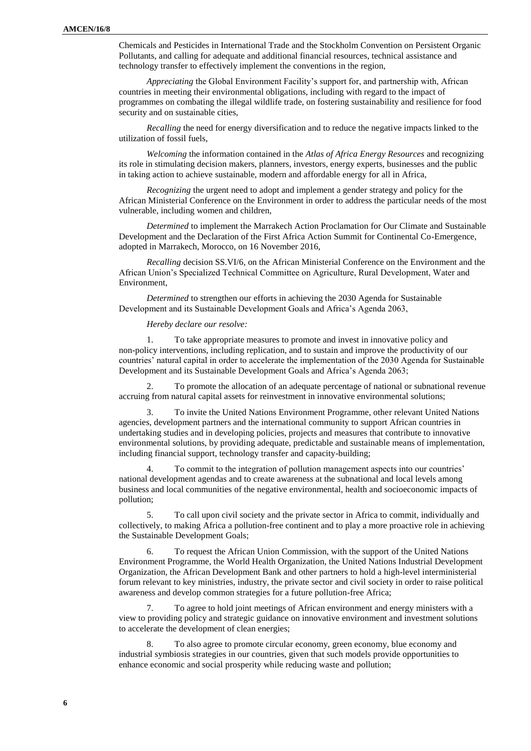Chemicals and Pesticides in International Trade and the Stockholm Convention on Persistent Organic Pollutants, and calling for adequate and additional financial resources, technical assistance and technology transfer to effectively implement the conventions in the region,

*Appreciating* the Global Environment Facility's support for, and partnership with, African countries in meeting their environmental obligations, including with regard to the impact of programmes on combating the illegal wildlife trade, on fostering sustainability and resilience for food security and on sustainable cities,

*Recalling* the need for energy diversification and to reduce the negative impacts linked to the utilization of fossil fuels,

*Welcoming* the information contained in the *Atlas of Africa Energy Resources* and recognizing its role in stimulating decision makers, planners, investors, energy experts, businesses and the public in taking action to achieve sustainable, modern and affordable energy for all in Africa,

*Recognizing* the urgent need to adopt and implement a gender strategy and policy for the African Ministerial Conference on the Environment in order to address the particular needs of the most vulnerable, including women and children,

*Determined* to implement the Marrakech Action Proclamation for Our Climate and Sustainable Development and the Declaration of the First Africa Action Summit for Continental Co-Emergence, adopted in Marrakech, Morocco, on 16 November 2016,

*Recalling* decision SS.VI/6, on the African Ministerial Conference on the Environment and the African Union's Specialized Technical Committee on Agriculture, Rural Development, Water and Environment,

*Determined* to strengthen our efforts in achieving the 2030 Agenda for Sustainable Development and its Sustainable Development Goals and Africa's Agenda 2063,

*Hereby declare our resolve:*

1. To take appropriate measures to promote and invest in innovative policy and non-policy interventions, including replication, and to sustain and improve the productivity of our countries' natural capital in order to accelerate the implementation of the 2030 Agenda for Sustainable Development and its Sustainable Development Goals and Africa's Agenda 2063;

2. To promote the allocation of an adequate percentage of national or subnational revenue accruing from natural capital assets for reinvestment in innovative environmental solutions;

3. To invite the United Nations Environment Programme, other relevant United Nations agencies, development partners and the international community to support African countries in undertaking studies and in developing policies, projects and measures that contribute to innovative environmental solutions, by providing adequate, predictable and sustainable means of implementation, including financial support, technology transfer and capacity-building;

4. To commit to the integration of pollution management aspects into our countries' national development agendas and to create awareness at the subnational and local levels among business and local communities of the negative environmental, health and socioeconomic impacts of pollution;

5. To call upon civil society and the private sector in Africa to commit, individually and collectively, to making Africa a pollution-free continent and to play a more proactive role in achieving the Sustainable Development Goals;

6. To request the African Union Commission, with the support of the United Nations Environment Programme, the World Health Organization, the United Nations Industrial Development Organization, the African Development Bank and other partners to hold a high-level interministerial forum relevant to key ministries, industry, the private sector and civil society in order to raise political awareness and develop common strategies for a future pollution-free Africa;

7. To agree to hold joint meetings of African environment and energy ministers with a view to providing policy and strategic guidance on innovative environment and investment solutions to accelerate the development of clean energies;

8. To also agree to promote circular economy, green economy, blue economy and industrial symbiosis strategies in our countries, given that such models provide opportunities to enhance economic and social prosperity while reducing waste and pollution;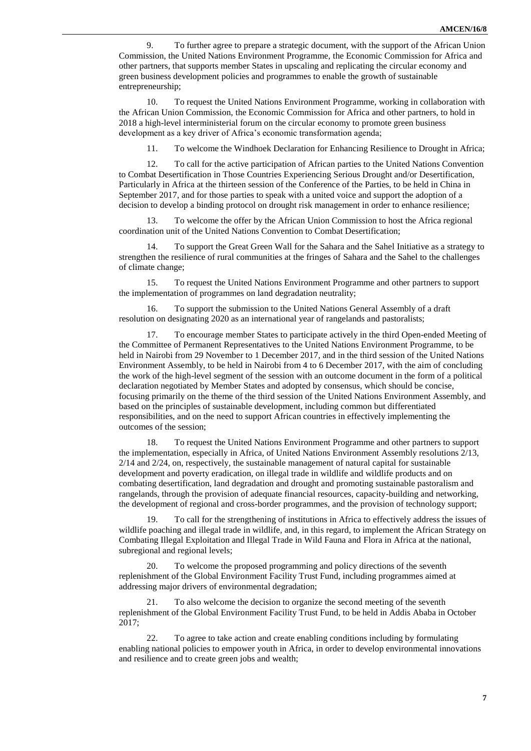9. To further agree to prepare a strategic document, with the support of the African Union Commission, the United Nations Environment Programme, the Economic Commission for Africa and other partners, that supports member States in upscaling and replicating the circular economy and green business development policies and programmes to enable the growth of sustainable entrepreneurship;

10. To request the United Nations Environment Programme, working in collaboration with the African Union Commission, the Economic Commission for Africa and other partners, to hold in 2018 a high-level interministerial forum on the circular economy to promote green business development as a key driver of Africa's economic transformation agenda;

11. To welcome the Windhoek Declaration for Enhancing Resilience to Drought in Africa;

12. To call for the active participation of African parties to the United Nations Convention to Combat Desertification in Those Countries Experiencing Serious Drought and/or Desertification, Particularly in Africa at the thirteen session of the Conference of the Parties, to be held in China in September 2017, and for those parties to speak with a united voice and support the adoption of a decision to develop a binding protocol on drought risk management in order to enhance resilience;

13. To welcome the offer by the African Union Commission to host the Africa regional coordination unit of the United Nations Convention to Combat Desertification;

14. To support the Great Green Wall for the Sahara and the Sahel Initiative as a strategy to strengthen the resilience of rural communities at the fringes of Sahara and the Sahel to the challenges of climate change;

15. To request the United Nations Environment Programme and other partners to support the implementation of programmes on land degradation neutrality;

16. To support the submission to the United Nations General Assembly of a draft resolution on designating 2020 as an international year of rangelands and pastoralists;

17. To encourage member States to participate actively in the third Open-ended Meeting of the Committee of Permanent Representatives to the United Nations Environment Programme, to be held in Nairobi from 29 November to 1 December 2017, and in the third session of the United Nations Environment Assembly, to be held in Nairobi from 4 to 6 December 2017, with the aim of concluding the work of the high-level segment of the session with an outcome document in the form of a political declaration negotiated by Member States and adopted by consensus, which should be concise, focusing primarily on the theme of the third session of the United Nations Environment Assembly, and based on the principles of sustainable development, including common but differentiated responsibilities, and on the need to support African countries in effectively implementing the outcomes of the session;

18. To request the United Nations Environment Programme and other partners to support the implementation, especially in Africa, of United Nations Environment Assembly resolutions 2/13, 2/14 and 2/24, on, respectively, the sustainable management of natural capital for sustainable development and poverty eradication, on illegal trade in wildlife and wildlife products and on combating desertification, land degradation and drought and promoting sustainable pastoralism and rangelands, through the provision of adequate financial resources, capacity-building and networking, the development of regional and cross-border programmes, and the provision of technology support;

19. To call for the strengthening of institutions in Africa to effectively address the issues of wildlife poaching and illegal trade in wildlife, and, in this regard, to implement the African Strategy on Combating Illegal Exploitation and Illegal Trade in Wild Fauna and Flora in Africa at the national, subregional and regional levels;

20. To welcome the proposed programming and policy directions of the seventh replenishment of the Global Environment Facility Trust Fund, including programmes aimed at addressing major drivers of environmental degradation;

21. To also welcome the decision to organize the second meeting of the seventh replenishment of the Global Environment Facility Trust Fund, to be held in Addis Ababa in October 2017;

22. To agree to take action and create enabling conditions including by formulating enabling national policies to empower youth in Africa, in order to develop environmental innovations and resilience and to create green jobs and wealth;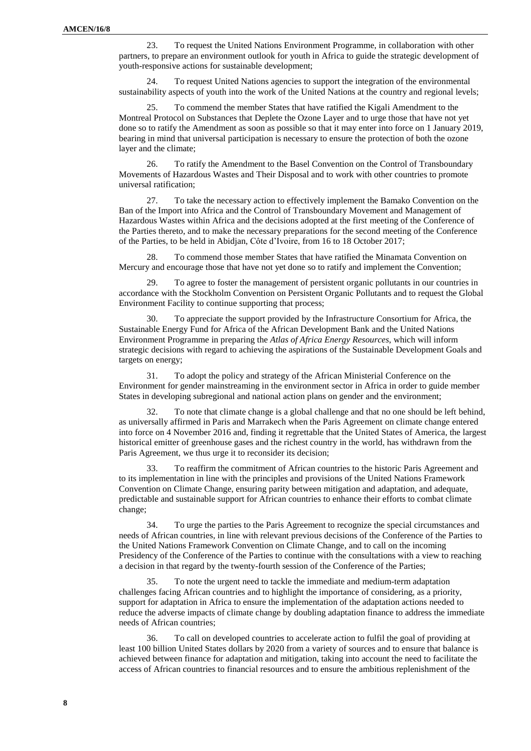23. To request the United Nations Environment Programme, in collaboration with other partners, to prepare an environment outlook for youth in Africa to guide the strategic development of youth-responsive actions for sustainable development;

24. To request United Nations agencies to support the integration of the environmental sustainability aspects of youth into the work of the United Nations at the country and regional levels;

25. To commend the member States that have ratified the Kigali Amendment to the Montreal Protocol on Substances that Deplete the Ozone Layer and to urge those that have not yet done so to ratify the Amendment as soon as possible so that it may enter into force on 1 January 2019, bearing in mind that universal participation is necessary to ensure the protection of both the ozone layer and the climate;

26. To ratify the Amendment to the Basel Convention on the Control of Transboundary Movements of Hazardous Wastes and Their Disposal and to work with other countries to promote universal ratification;

27. To take the necessary action to effectively implement the Bamako Convention on the Ban of the Import into Africa and the Control of Transboundary Movement and Management of Hazardous Wastes within Africa and the decisions adopted at the first meeting of the Conference of the Parties thereto, and to make the necessary preparations for the second meeting of the Conference of the Parties, to be held in Abidjan, Côte d'Ivoire, from 16 to 18 October 2017;

28. To commend those member States that have ratified the Minamata Convention on Mercury and encourage those that have not yet done so to ratify and implement the Convention;

29. To agree to foster the management of persistent organic pollutants in our countries in accordance with the Stockholm Convention on Persistent Organic Pollutants and to request the Global Environment Facility to continue supporting that process;

30. To appreciate the support provided by the Infrastructure Consortium for Africa, the Sustainable Energy Fund for Africa of the African Development Bank and the United Nations Environment Programme in preparing the *Atlas of Africa Energy Resources*, which will inform strategic decisions with regard to achieving the aspirations of the Sustainable Development Goals and targets on energy;

31. To adopt the policy and strategy of the African Ministerial Conference on the Environment for gender mainstreaming in the environment sector in Africa in order to guide member States in developing subregional and national action plans on gender and the environment;

32. To note that climate change is a global challenge and that no one should be left behind, as universally affirmed in Paris and Marrakech when the Paris Agreement on climate change entered into force on 4 November 2016 and, finding it regrettable that the United States of America, the largest historical emitter of greenhouse gases and the richest country in the world, has withdrawn from the Paris Agreement, we thus urge it to reconsider its decision;

33. To reaffirm the commitment of African countries to the historic Paris Agreement and to its implementation in line with the principles and provisions of the United Nations Framework Convention on Climate Change, ensuring parity between mitigation and adaptation, and adequate, predictable and sustainable support for African countries to enhance their efforts to combat climate change;

34. To urge the parties to the Paris Agreement to recognize the special circumstances and needs of African countries, in line with relevant previous decisions of the Conference of the Parties to the United Nations Framework Convention on Climate Change, and to call on the incoming Presidency of the Conference of the Parties to continue with the consultations with a view to reaching a decision in that regard by the twenty-fourth session of the Conference of the Parties;

35. To note the urgent need to tackle the immediate and medium-term adaptation challenges facing African countries and to highlight the importance of considering, as a priority, support for adaptation in Africa to ensure the implementation of the adaptation actions needed to reduce the adverse impacts of climate change by doubling adaptation finance to address the immediate needs of African countries;

36. To call on developed countries to accelerate action to fulfil the goal of providing at least 100 billion United States dollars by 2020 from a variety of sources and to ensure that balance is achieved between finance for adaptation and mitigation, taking into account the need to facilitate the access of African countries to financial resources and to ensure the ambitious replenishment of the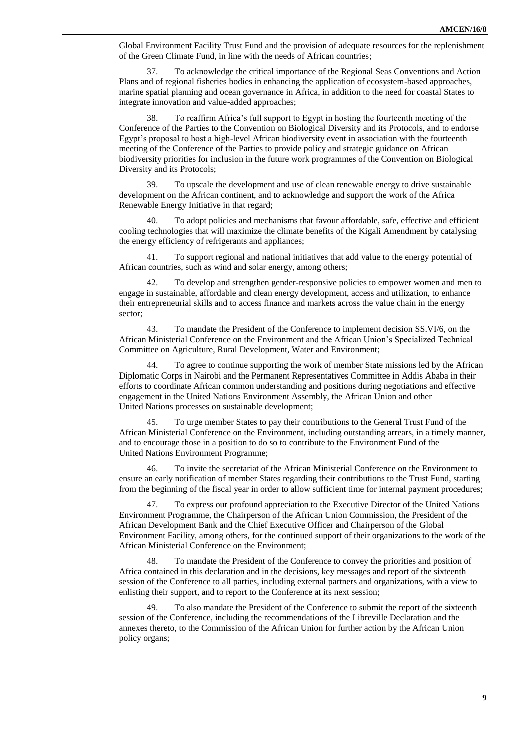Global Environment Facility Trust Fund and the provision of adequate resources for the replenishment of the Green Climate Fund, in line with the needs of African countries;

37. To acknowledge the critical importance of the Regional Seas Conventions and Action Plans and of regional fisheries bodies in enhancing the application of ecosystem-based approaches, marine spatial planning and ocean governance in Africa, in addition to the need for coastal States to integrate innovation and value-added approaches;

38. To reaffirm Africa's full support to Egypt in hosting the fourteenth meeting of the Conference of the Parties to the Convention on Biological Diversity and its Protocols, and to endorse Egypt's proposal to host a high-level African biodiversity event in association with the fourteenth meeting of the Conference of the Parties to provide policy and strategic guidance on African biodiversity priorities for inclusion in the future work programmes of the Convention on Biological Diversity and its Protocols;

39. To upscale the development and use of clean renewable energy to drive sustainable development on the African continent, and to acknowledge and support the work of the Africa Renewable Energy Initiative in that regard;

40. To adopt policies and mechanisms that favour affordable, safe, effective and efficient cooling technologies that will maximize the climate benefits of the Kigali Amendment by catalysing the energy efficiency of refrigerants and appliances;

41. To support regional and national initiatives that add value to the energy potential of African countries, such as wind and solar energy, among others;

42. To develop and strengthen gender-responsive policies to empower women and men to engage in sustainable, affordable and clean energy development, access and utilization, to enhance their entrepreneurial skills and to access finance and markets across the value chain in the energy sector;

43. To mandate the President of the Conference to implement decision SS.VI/6, on the African Ministerial Conference on the Environment and the African Union's Specialized Technical Committee on Agriculture, Rural Development, Water and Environment;

44. To agree to continue supporting the work of member State missions led by the African Diplomatic Corps in Nairobi and the Permanent Representatives Committee in Addis Ababa in their efforts to coordinate African common understanding and positions during negotiations and effective engagement in the United Nations Environment Assembly, the African Union and other United Nations processes on sustainable development;

45. To urge member States to pay their contributions to the General Trust Fund of the African Ministerial Conference on the Environment, including outstanding arrears, in a timely manner, and to encourage those in a position to do so to contribute to the Environment Fund of the United Nations Environment Programme;

46. To invite the secretariat of the African Ministerial Conference on the Environment to ensure an early notification of member States regarding their contributions to the Trust Fund, starting from the beginning of the fiscal year in order to allow sufficient time for internal payment procedures;

47. To express our profound appreciation to the Executive Director of the United Nations Environment Programme, the Chairperson of the African Union Commission, the President of the African Development Bank and the Chief Executive Officer and Chairperson of the Global Environment Facility, among others, for the continued support of their organizations to the work of the African Ministerial Conference on the Environment;

48. To mandate the President of the Conference to convey the priorities and position of Africa contained in this declaration and in the decisions, key messages and report of the sixteenth session of the Conference to all parties, including external partners and organizations, with a view to enlisting their support, and to report to the Conference at its next session;

49. To also mandate the President of the Conference to submit the report of the sixteenth session of the Conference, including the recommendations of the Libreville Declaration and the annexes thereto, to the Commission of the African Union for further action by the African Union policy organs;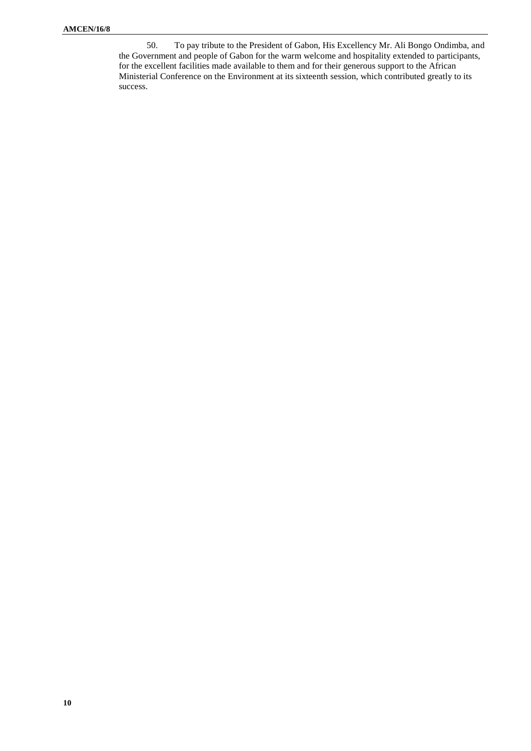50. To pay tribute to the President of Gabon, His Excellency Mr. Ali Bongo Ondimba, and the Government and people of Gabon for the warm welcome and hospitality extended to participants, for the excellent facilities made available to them and for their generous support to the African Ministerial Conference on the Environment at its sixteenth session, which contributed greatly to its success.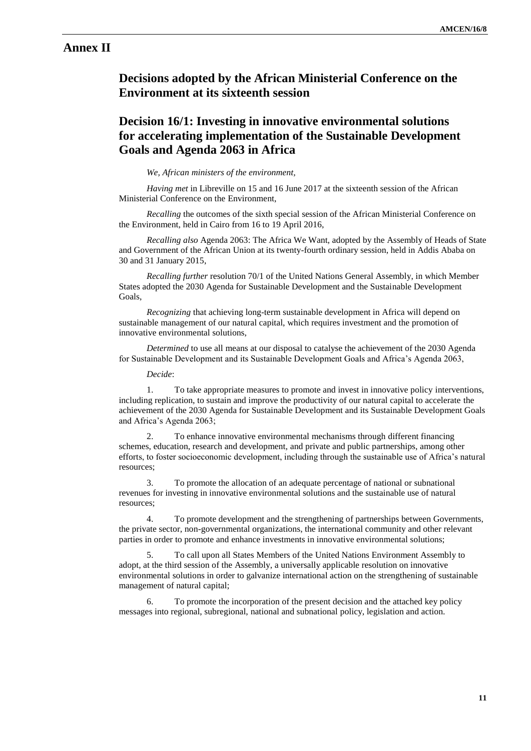# **Annex II**

# **Decisions adopted by the African Ministerial Conference on the Environment at its sixteenth session**

# **Decision 16/1: Investing in innovative environmental solutions for accelerating implementation of the Sustainable Development Goals and Agenda 2063 in Africa**

#### *We, African ministers of the environment,*

*Having met* in Libreville on 15 and 16 June 2017 at the sixteenth session of the African Ministerial Conference on the Environment,

*Recalling* the outcomes of the sixth special session of the African Ministerial Conference on the Environment, held in Cairo from 16 to 19 April 2016,

*Recalling also* Agenda 2063: The Africa We Want, adopted by the Assembly of Heads of State and Government of the African Union at its twenty-fourth ordinary session, held in Addis Ababa on 30 and 31 January 2015,

*Recalling further* resolution 70/1 of the United Nations General Assembly, in which Member States adopted the 2030 Agenda for Sustainable Development and the Sustainable Development Goals,

*Recognizing* that achieving long-term sustainable development in Africa will depend on sustainable management of our natural capital, which requires investment and the promotion of innovative environmental solutions,

*Determined* to use all means at our disposal to catalyse the achievement of the 2030 Agenda for Sustainable Development and its Sustainable Development Goals and Africa's Agenda 2063,

*Decide*:

1. To take appropriate measures to promote and invest in innovative policy interventions, including replication, to sustain and improve the productivity of our natural capital to accelerate the achievement of the 2030 Agenda for Sustainable Development and its Sustainable Development Goals and Africa's Agenda 2063;

2. To enhance innovative environmental mechanisms through different financing schemes, education, research and development, and private and public partnerships, among other efforts, to foster socioeconomic development, including through the sustainable use of Africa's natural resources;

3. To promote the allocation of an adequate percentage of national or subnational revenues for investing in innovative environmental solutions and the sustainable use of natural resources;

4. To promote development and the strengthening of partnerships between Governments, the private sector, non-governmental organizations, the international community and other relevant parties in order to promote and enhance investments in innovative environmental solutions;

5. To call upon all States Members of the United Nations Environment Assembly to adopt, at the third session of the Assembly, a universally applicable resolution on innovative environmental solutions in order to galvanize international action on the strengthening of sustainable management of natural capital;

6. To promote the incorporation of the present decision and the attached key policy messages into regional, subregional, national and subnational policy, legislation and action.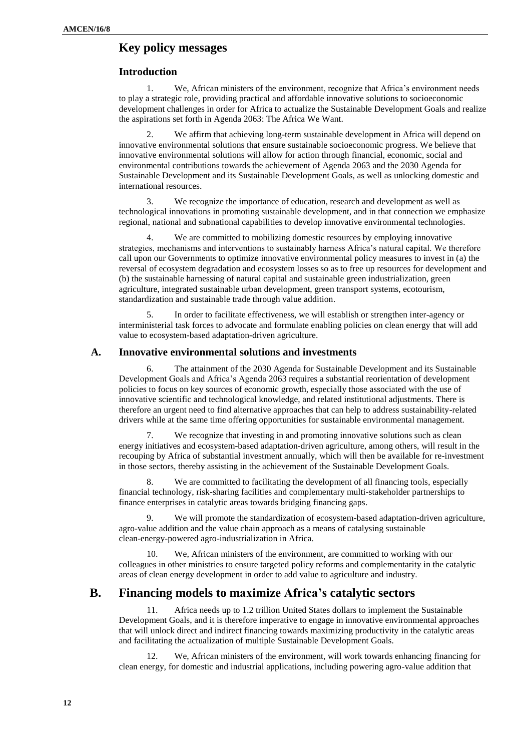## **Key policy messages**

#### **Introduction**

1. We, African ministers of the environment, recognize that Africa's environment needs to play a strategic role, providing practical and affordable innovative solutions to socioeconomic development challenges in order for Africa to actualize the Sustainable Development Goals and realize the aspirations set forth in Agenda 2063: The Africa We Want.

We affirm that achieving long-term sustainable development in Africa will depend on innovative environmental solutions that ensure sustainable socioeconomic progress. We believe that innovative environmental solutions will allow for action through financial, economic, social and environmental contributions towards the achievement of Agenda 2063 and the 2030 Agenda for Sustainable Development and its Sustainable Development Goals, as well as unlocking domestic and international resources.

3. We recognize the importance of education, research and development as well as technological innovations in promoting sustainable development, and in that connection we emphasize regional, national and subnational capabilities to develop innovative environmental technologies.

We are committed to mobilizing domestic resources by employing innovative strategies, mechanisms and interventions to sustainably harness Africa's natural capital. We therefore call upon our Governments to optimize innovative environmental policy measures to invest in (a) the reversal of ecosystem degradation and ecosystem losses so as to free up resources for development and (b) the sustainable harnessing of natural capital and sustainable green industrialization, green agriculture, integrated sustainable urban development, green transport systems, ecotourism, standardization and sustainable trade through value addition.

5. In order to facilitate effectiveness, we will establish or strengthen inter-agency or interministerial task forces to advocate and formulate enabling policies on clean energy that will add value to ecosystem-based adaptation-driven agriculture.

#### **A. Innovative environmental solutions and investments**

6. The attainment of the 2030 Agenda for Sustainable Development and its Sustainable Development Goals and Africa's Agenda 2063 requires a substantial reorientation of development policies to focus on key sources of economic growth, especially those associated with the use of innovative scientific and technological knowledge, and related institutional adjustments. There is therefore an urgent need to find alternative approaches that can help to address sustainability-related drivers while at the same time offering opportunities for sustainable environmental management.

We recognize that investing in and promoting innovative solutions such as clean energy initiatives and ecosystem-based adaptation-driven agriculture, among others, will result in the recouping by Africa of substantial investment annually, which will then be available for re-investment in those sectors, thereby assisting in the achievement of the Sustainable Development Goals.

8. We are committed to facilitating the development of all financing tools, especially financial technology, risk-sharing facilities and complementary multi-stakeholder partnerships to finance enterprises in catalytic areas towards bridging financing gaps.

9. We will promote the standardization of ecosystem-based adaptation-driven agriculture, agro-value addition and the value chain approach as a means of catalysing sustainable clean-energy-powered agro-industrialization in Africa.

10. We, African ministers of the environment, are committed to working with our colleagues in other ministries to ensure targeted policy reforms and complementarity in the catalytic areas of clean energy development in order to add value to agriculture and industry.

## **B. Financing models to maximize Africa's catalytic sectors**

11. Africa needs up to 1.2 trillion United States dollars to implement the Sustainable Development Goals, and it is therefore imperative to engage in innovative environmental approaches that will unlock direct and indirect financing towards maximizing productivity in the catalytic areas and facilitating the actualization of multiple Sustainable Development Goals.

12. We, African ministers of the environment, will work towards enhancing financing for clean energy, for domestic and industrial applications, including powering agro-value addition that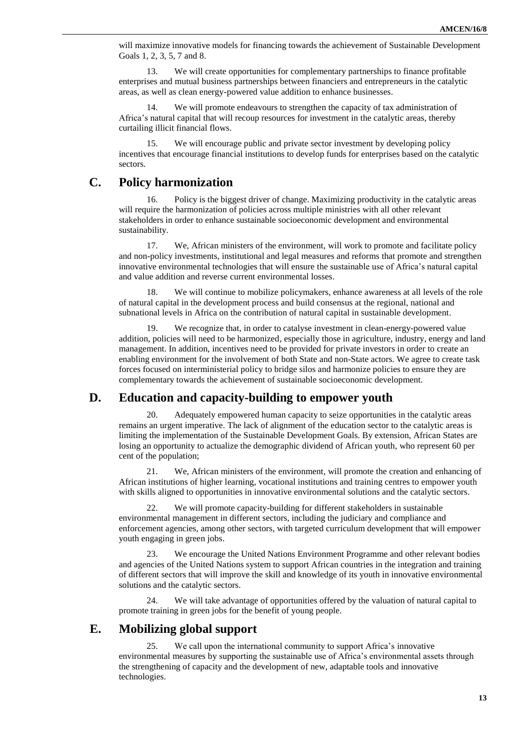will maximize innovative models for financing towards the achievement of Sustainable Development Goals 1, 2, 3, 5, 7 and 8.

13. We will create opportunities for complementary partnerships to finance profitable enterprises and mutual business partnerships between financiers and entrepreneurs in the catalytic areas, as well as clean energy-powered value addition to enhance businesses.

14. We will promote endeavours to strengthen the capacity of tax administration of Africa's natural capital that will recoup resources for investment in the catalytic areas, thereby curtailing illicit financial flows.

15. We will encourage public and private sector investment by developing policy incentives that encourage financial institutions to develop funds for enterprises based on the catalytic sectors.

## **C. Policy harmonization**

16. Policy is the biggest driver of change. Maximizing productivity in the catalytic areas will require the harmonization of policies across multiple ministries with all other relevant stakeholders in order to enhance sustainable socioeconomic development and environmental sustainability.

17. We, African ministers of the environment, will work to promote and facilitate policy and non-policy investments, institutional and legal measures and reforms that promote and strengthen innovative environmental technologies that will ensure the sustainable use of Africa's natural capital and value addition and reverse current environmental losses.

18. We will continue to mobilize policymakers, enhance awareness at all levels of the role of natural capital in the development process and build consensus at the regional, national and subnational levels in Africa on the contribution of natural capital in sustainable development.

We recognize that, in order to catalyse investment in clean-energy-powered value addition, policies will need to be harmonized, especially those in agriculture, industry, energy and land management. In addition, incentives need to be provided for private investors in order to create an enabling environment for the involvement of both State and non-State actors. We agree to create task forces focused on interministerial policy to bridge silos and harmonize policies to ensure they are complementary towards the achievement of sustainable socioeconomic development.

## **D. Education and capacity-building to empower youth**

Adequately empowered human capacity to seize opportunities in the catalytic areas remains an urgent imperative. The lack of alignment of the education sector to the catalytic areas is limiting the implementation of the Sustainable Development Goals. By extension, African States are losing an opportunity to actualize the demographic dividend of African youth, who represent 60 per cent of the population;

21. We, African ministers of the environment, will promote the creation and enhancing of African institutions of higher learning, vocational institutions and training centres to empower youth with skills aligned to opportunities in innovative environmental solutions and the catalytic sectors.

22. We will promote capacity-building for different stakeholders in sustainable environmental management in different sectors, including the judiciary and compliance and enforcement agencies, among other sectors, with targeted curriculum development that will empower youth engaging in green jobs.

23. We encourage the United Nations Environment Programme and other relevant bodies and agencies of the United Nations system to support African countries in the integration and training of different sectors that will improve the skill and knowledge of its youth in innovative environmental solutions and the catalytic sectors.

24. We will take advantage of opportunities offered by the valuation of natural capital to promote training in green jobs for the benefit of young people.

## **E. Mobilizing global support**

25. We call upon the international community to support Africa's innovative environmental measures by supporting the sustainable use of Africa's environmental assets through the strengthening of capacity and the development of new, adaptable tools and innovative technologies.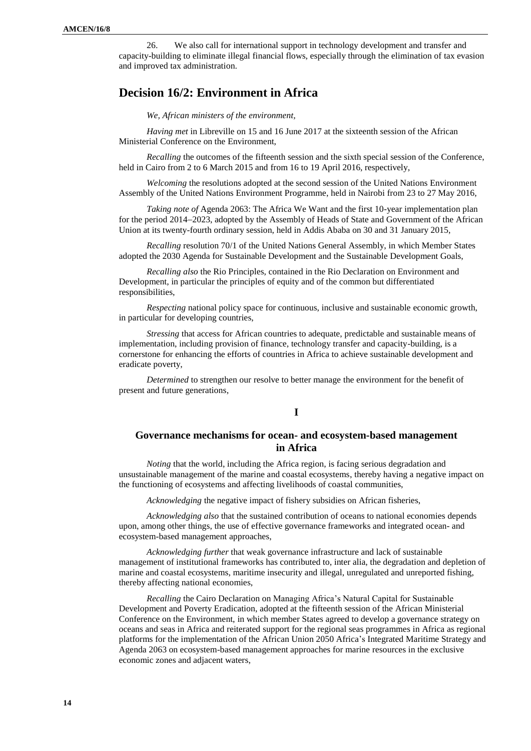26. We also call for international support in technology development and transfer and capacity-building to eliminate illegal financial flows, especially through the elimination of tax evasion and improved tax administration.

# **Decision 16/2: Environment in Africa**

*We, African ministers of the environment,*

*Having met* in Libreville on 15 and 16 June 2017 at the sixteenth session of the African Ministerial Conference on the Environment,

*Recalling* the outcomes of the fifteenth session and the sixth special session of the Conference, held in Cairo from 2 to 6 March 2015 and from 16 to 19 April 2016, respectively,

*Welcoming* the resolutions adopted at the second session of the United Nations Environment Assembly of the United Nations Environment Programme, held in Nairobi from 23 to 27 May 2016,

*Taking note of* Agenda 2063: The Africa We Want and the first 10-year implementation plan for the period 2014-2023, adopted by the Assembly of Heads of State and Government of the African Union at its twenty-fourth ordinary session, held in Addis Ababa on 30 and 31 January 2015,

*Recalling* resolution 70/1 of the United Nations General Assembly, in which Member States adopted the 2030 Agenda for Sustainable Development and the Sustainable Development Goals,

*Recalling also* the Rio Principles, contained in the Rio Declaration on Environment and Development, in particular the principles of equity and of the common but differentiated responsibilities,

*Respecting* national policy space for continuous, inclusive and sustainable economic growth, in particular for developing countries,

*Stressing* that access for African countries to adequate, predictable and sustainable means of implementation, including provision of finance, technology transfer and capacity-building, is a cornerstone for enhancing the efforts of countries in Africa to achieve sustainable development and eradicate poverty,

*Determined* to strengthen our resolve to better manage the environment for the benefit of present and future generations,

#### **I**

### **Governance mechanisms for ocean- and ecosystem-based management in Africa**

*Noting* that the world, including the Africa region, is facing serious degradation and unsustainable management of the marine and coastal ecosystems, thereby having a negative impact on the functioning of ecosystems and affecting livelihoods of coastal communities,

*Acknowledging* the negative impact of fishery subsidies on African fisheries,

*Acknowledging also* that the sustained contribution of oceans to national economies depends upon, among other things, the use of effective governance frameworks and integrated ocean- and ecosystem-based management approaches,

*Acknowledging further* that weak governance infrastructure and lack of sustainable management of institutional frameworks has contributed to, inter alia, the degradation and depletion of marine and coastal ecosystems, maritime insecurity and illegal, unregulated and unreported fishing, thereby affecting national economies,

*Recalling* the Cairo Declaration on Managing Africa's Natural Capital for Sustainable Development and Poverty Eradication, adopted at the fifteenth session of the African Ministerial Conference on the Environment, in which member States agreed to develop a governance strategy on oceans and seas in Africa and reiterated support for the regional seas programmes in Africa as regional platforms for the implementation of the African Union 2050 Africa's Integrated Maritime Strategy and Agenda 2063 on ecosystem-based management approaches for marine resources in the exclusive economic zones and adjacent waters,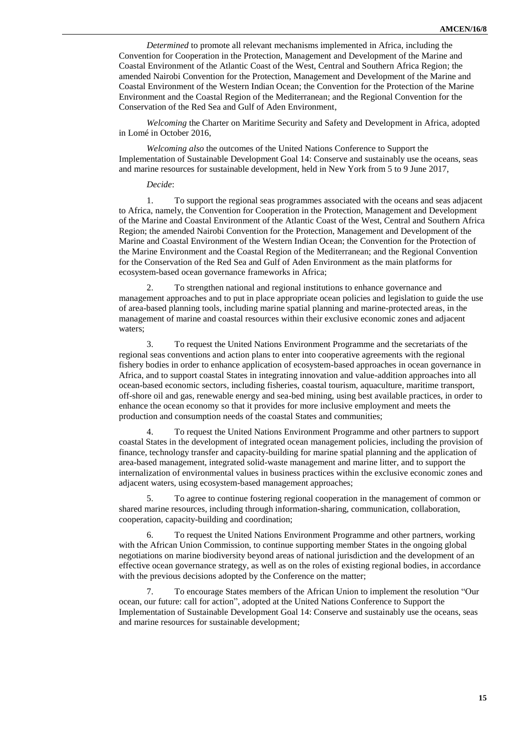*Determined* to promote all relevant mechanisms implemented in Africa, including the Convention for Cooperation in the Protection, Management and Development of the Marine and Coastal Environment of the Atlantic Coast of the West, Central and Southern Africa Region; the amended Nairobi Convention for the Protection, Management and Development of the Marine and Coastal Environment of the Western Indian Ocean; the Convention for the Protection of the Marine Environment and the Coastal Region of the Mediterranean; and the Regional Convention for the Conservation of the Red Sea and Gulf of Aden Environment,

*Welcoming* the Charter on Maritime Security and Safety and Development in Africa, adopted in Lomé in October 2016,

*Welcoming also* the outcomes of the United Nations Conference to Support the Implementation of Sustainable Development Goal 14: Conserve and sustainably use the oceans, seas and marine resources for sustainable development, held in New York from 5 to 9 June 2017,

#### *Decide*:

1. To support the regional seas programmes associated with the oceans and seas adjacent to Africa, namely, the Convention for Cooperation in the Protection, Management and Development of the Marine and Coastal Environment of the Atlantic Coast of the West, Central and Southern Africa Region; the amended Nairobi Convention for the Protection, Management and Development of the Marine and Coastal Environment of the Western Indian Ocean; the Convention for the Protection of the Marine Environment and the Coastal Region of the Mediterranean; and the Regional Convention for the Conservation of the Red Sea and Gulf of Aden Environment as the main platforms for ecosystem-based ocean governance frameworks in Africa;

2. To strengthen national and regional institutions to enhance governance and management approaches and to put in place appropriate ocean policies and legislation to guide the use of area-based planning tools, including marine spatial planning and marine-protected areas, in the management of marine and coastal resources within their exclusive economic zones and adjacent waters;

3. To request the United Nations Environment Programme and the secretariats of the regional seas conventions and action plans to enter into cooperative agreements with the regional fishery bodies in order to enhance application of ecosystem-based approaches in ocean governance in Africa, and to support coastal States in integrating innovation and value-addition approaches into all ocean-based economic sectors, including fisheries, coastal tourism, aquaculture, maritime transport, off-shore oil and gas, renewable energy and sea-bed mining, using best available practices, in order to enhance the ocean economy so that it provides for more inclusive employment and meets the production and consumption needs of the coastal States and communities;

4. To request the United Nations Environment Programme and other partners to support coastal States in the development of integrated ocean management policies, including the provision of finance, technology transfer and capacity-building for marine spatial planning and the application of area-based management, integrated solid-waste management and marine litter, and to support the internalization of environmental values in business practices within the exclusive economic zones and adjacent waters, using ecosystem-based management approaches;

5. To agree to continue fostering regional cooperation in the management of common or shared marine resources, including through information-sharing, communication, collaboration, cooperation, capacity-building and coordination;

6. To request the United Nations Environment Programme and other partners, working with the African Union Commission, to continue supporting member States in the ongoing global negotiations on marine biodiversity beyond areas of national jurisdiction and the development of an effective ocean governance strategy, as well as on the roles of existing regional bodies, in accordance with the previous decisions adopted by the Conference on the matter;

7. To encourage States members of the African Union to implement the resolution "Our ocean, our future: call for action", adopted at the United Nations Conference to Support the Implementation of Sustainable Development Goal 14: Conserve and sustainably use the oceans, seas and marine resources for sustainable development;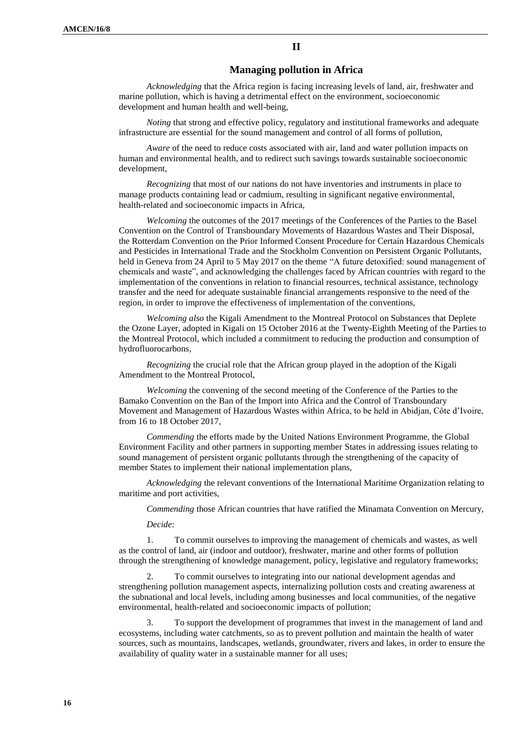#### **Managing pollution in Africa**

*Acknowledging* that the Africa region is facing increasing levels of land, air, freshwater and marine pollution, which is having a detrimental effect on the environment, socioeconomic development and human health and well-being,

*Noting* that strong and effective policy, regulatory and institutional frameworks and adequate infrastructure are essential for the sound management and control of all forms of pollution,

*Aware* of the need to reduce costs associated with air, land and water pollution impacts on human and environmental health, and to redirect such savings towards sustainable socioeconomic development,

*Recognizing* that most of our nations do not have inventories and instruments in place to manage products containing lead or cadmium, resulting in significant negative environmental, health-related and socioeconomic impacts in Africa,

*Welcoming* the outcomes of the 2017 meetings of the Conferences of the Parties to the Basel Convention on the Control of Transboundary Movements of Hazardous Wastes and Their Disposal, the Rotterdam Convention on the Prior Informed Consent Procedure for Certain Hazardous Chemicals and Pesticides in International Trade and the Stockholm Convention on Persistent Organic Pollutants, held in Geneva from 24 April to 5 May 2017 on the theme "A future detoxified: sound management of chemicals and waste", and acknowledging the challenges faced by African countries with regard to the implementation of the conventions in relation to financial resources, technical assistance, technology transfer and the need for adequate sustainable financial arrangements responsive to the need of the region, in order to improve the effectiveness of implementation of the conventions,

*Welcoming also* the Kigali Amendment to the Montreal Protocol on Substances that Deplete the Ozone Layer, adopted in Kigali on 15 October 2016 at the Twenty-Eighth Meeting of the Parties to the Montreal Protocol, which included a commitment to reducing the production and consumption of hydrofluorocarbons,

*Recognizing* the crucial role that the African group played in the adoption of the Kigali Amendment to the Montreal Protocol,

*Welcoming* the convening of the second meeting of the Conference of the Parties to the Bamako Convention on the Ban of the Import into Africa and the Control of Transboundary Movement and Management of Hazardous Wastes within Africa, to be held in Abidjan, Côte d'Ivoire, from 16 to 18 October 2017,

*Commending* the efforts made by the United Nations Environment Programme, the Global Environment Facility and other partners in supporting member States in addressing issues relating to sound management of persistent organic pollutants through the strengthening of the capacity of member States to implement their national implementation plans,

*Acknowledging* the relevant conventions of the International Maritime Organization relating to maritime and port activities,

*Commending* those African countries that have ratified the Minamata Convention on Mercury,

*Decide*:

1. To commit ourselves to improving the management of chemicals and wastes, as well as the control of land, air (indoor and outdoor), freshwater, marine and other forms of pollution through the strengthening of knowledge management, policy, legislative and regulatory frameworks;

2. To commit ourselves to integrating into our national development agendas and strengthening pollution management aspects, internalizing pollution costs and creating awareness at the subnational and local levels, including among businesses and local communities, of the negative environmental, health-related and socioeconomic impacts of pollution;

3. To support the development of programmes that invest in the management of land and ecosystems, including water catchments, so as to prevent pollution and maintain the health of water sources, such as mountains, landscapes, wetlands, groundwater, rivers and lakes, in order to ensure the availability of quality water in a sustainable manner for all uses;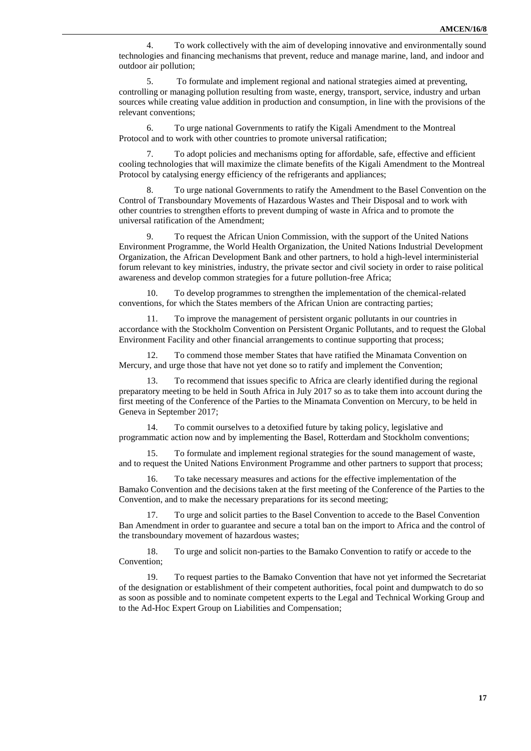4. To work collectively with the aim of developing innovative and environmentally sound technologies and financing mechanisms that prevent, reduce and manage marine, land, and indoor and outdoor air pollution;

5. To formulate and implement regional and national strategies aimed at preventing, controlling or managing pollution resulting from waste, energy, transport, service, industry and urban sources while creating value addition in production and consumption, in line with the provisions of the relevant conventions;

6. To urge national Governments to ratify the Kigali Amendment to the Montreal Protocol and to work with other countries to promote universal ratification;

To adopt policies and mechanisms opting for affordable, safe, effective and efficient cooling technologies that will maximize the climate benefits of the Kigali Amendment to the Montreal Protocol by catalysing energy efficiency of the refrigerants and appliances;

To urge national Governments to ratify the Amendment to the Basel Convention on the Control of Transboundary Movements of Hazardous Wastes and Their Disposal and to work with other countries to strengthen efforts to prevent dumping of waste in Africa and to promote the universal ratification of the Amendment;

9. To request the African Union Commission, with the support of the United Nations Environment Programme, the World Health Organization, the United Nations Industrial Development Organization, the African Development Bank and other partners, to hold a high-level interministerial forum relevant to key ministries, industry, the private sector and civil society in order to raise political awareness and develop common strategies for a future pollution-free Africa;

10. To develop programmes to strengthen the implementation of the chemical-related conventions, for which the States members of the African Union are contracting parties;

11. To improve the management of persistent organic pollutants in our countries in accordance with the Stockholm Convention on Persistent Organic Pollutants, and to request the Global Environment Facility and other financial arrangements to continue supporting that process;

12. To commend those member States that have ratified the Minamata Convention on Mercury, and urge those that have not yet done so to ratify and implement the Convention;

13. To recommend that issues specific to Africa are clearly identified during the regional preparatory meeting to be held in South Africa in July 2017 so as to take them into account during the first meeting of the Conference of the Parties to the Minamata Convention on Mercury, to be held in Geneva in September 2017;

14. To commit ourselves to a detoxified future by taking policy, legislative and programmatic action now and by implementing the Basel, Rotterdam and Stockholm conventions;

15. To formulate and implement regional strategies for the sound management of waste, and to request the United Nations Environment Programme and other partners to support that process;

16. To take necessary measures and actions for the effective implementation of the Bamako Convention and the decisions taken at the first meeting of the Conference of the Parties to the Convention, and to make the necessary preparations for its second meeting;

17. To urge and solicit parties to the Basel Convention to accede to the Basel Convention Ban Amendment in order to guarantee and secure a total ban on the import to Africa and the control of the transboundary movement of hazardous wastes;

18. To urge and solicit non-parties to the Bamako Convention to ratify or accede to the Convention;

19. To request parties to the Bamako Convention that have not yet informed the Secretariat of the designation or establishment of their competent authorities, focal point and dumpwatch to do so as soon as possible and to nominate competent experts to the Legal and Technical Working Group and to the Ad-Hoc Expert Group on Liabilities and Compensation;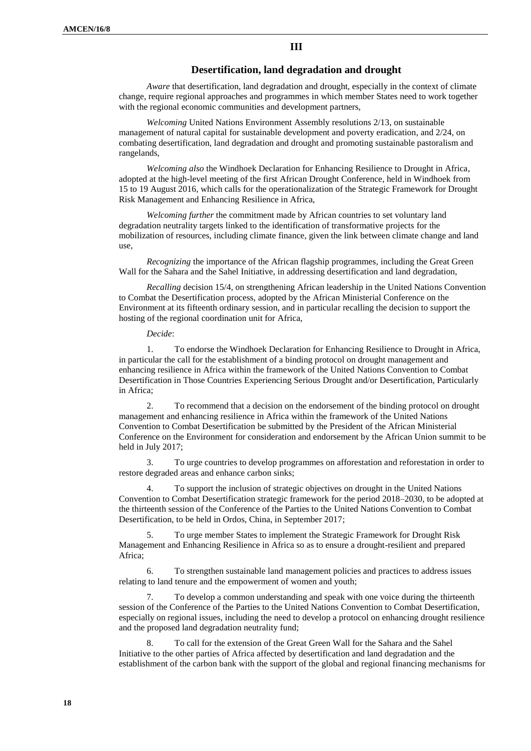**III**

### **Desertification, land degradation and drought**

*Aware* that desertification, land degradation and drought, especially in the context of climate change, require regional approaches and programmes in which member States need to work together with the regional economic communities and development partners,

*Welcoming* United Nations Environment Assembly resolutions 2/13, on sustainable management of natural capital for sustainable development and poverty eradication, and 2/24, on combating desertification, land degradation and drought and promoting sustainable pastoralism and rangelands,

*Welcoming also* the Windhoek Declaration for Enhancing Resilience to Drought in Africa, adopted at the high-level meeting of the first African Drought Conference, held in Windhoek from 15 to 19 August 2016, which calls for the operationalization of the Strategic Framework for Drought Risk Management and Enhancing Resilience in Africa,

*Welcoming further* the commitment made by African countries to set voluntary land degradation neutrality targets linked to the identification of transformative projects for the mobilization of resources, including climate finance, given the link between climate change and land use,

*Recognizing* the importance of the African flagship programmes, including the Great Green Wall for the Sahara and the Sahel Initiative, in addressing desertification and land degradation,

*Recalling* decision 15/4, on strengthening African leadership in the United Nations Convention to Combat the Desertification process, adopted by the African Ministerial Conference on the Environment at its fifteenth ordinary session, and in particular recalling the decision to support the hosting of the regional coordination unit for Africa,

*Decide*:

1. To endorse the Windhoek Declaration for Enhancing Resilience to Drought in Africa, in particular the call for the establishment of a binding protocol on drought management and enhancing resilience in Africa within the framework of the United Nations Convention to Combat Desertification in Those Countries Experiencing Serious Drought and/or Desertification, Particularly in Africa;

2. To recommend that a decision on the endorsement of the binding protocol on drought management and enhancing resilience in Africa within the framework of the United Nations Convention to Combat Desertification be submitted by the President of the African Ministerial Conference on the Environment for consideration and endorsement by the African Union summit to be held in July 2017;

3. To urge countries to develop programmes on afforestation and reforestation in order to restore degraded areas and enhance carbon sinks;

4. To support the inclusion of strategic objectives on drought in the United Nations Convention to Combat Desertification strategic framework for the period 2018–2030, to be adopted at the thirteenth session of the Conference of the Parties to the United Nations Convention to Combat Desertification, to be held in Ordos, China, in September 2017;

5. To urge member States to implement the Strategic Framework for Drought Risk Management and Enhancing Resilience in Africa so as to ensure a drought-resilient and prepared Africa;

6. To strengthen sustainable land management policies and practices to address issues relating to land tenure and the empowerment of women and youth;

7. To develop a common understanding and speak with one voice during the thirteenth session of the Conference of the Parties to the United Nations Convention to Combat Desertification, especially on regional issues, including the need to develop a protocol on enhancing drought resilience and the proposed land degradation neutrality fund;

8. To call for the extension of the Great Green Wall for the Sahara and the Sahel Initiative to the other parties of Africa affected by desertification and land degradation and the establishment of the carbon bank with the support of the global and regional financing mechanisms for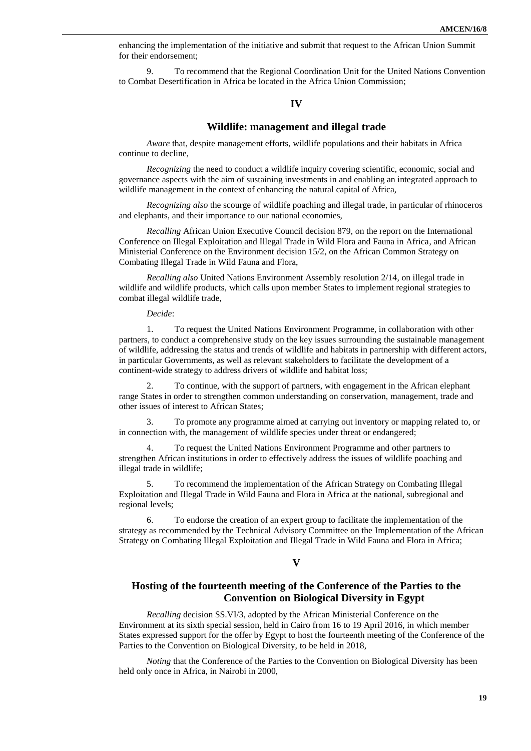enhancing the implementation of the initiative and submit that request to the African Union Summit for their endorsement;

9. To recommend that the Regional Coordination Unit for the United Nations Convention to Combat Desertification in Africa be located in the Africa Union Commission;

### **IV**

#### **Wildlife: management and illegal trade**

*Aware* that, despite management efforts, wildlife populations and their habitats in Africa continue to decline,

*Recognizing* the need to conduct a wildlife inquiry covering scientific, economic, social and governance aspects with the aim of sustaining investments in and enabling an integrated approach to wildlife management in the context of enhancing the natural capital of Africa,

*Recognizing also* the scourge of wildlife poaching and illegal trade, in particular of rhinoceros and elephants, and their importance to our national economies,

*Recalling* African Union Executive Council decision 879, on the report on the International Conference on Illegal Exploitation and Illegal Trade in Wild Flora and Fauna in Africa, and African Ministerial Conference on the Environment decision 15/2, on the African Common Strategy on Combating Illegal Trade in Wild Fauna and Flora,

*Recalling also* United Nations Environment Assembly resolution 2/14, on illegal trade in wildlife and wildlife products, which calls upon member States to implement regional strategies to combat illegal wildlife trade,

*Decide*:

1. To request the United Nations Environment Programme, in collaboration with other partners, to conduct a comprehensive study on the key issues surrounding the sustainable management of wildlife, addressing the status and trends of wildlife and habitats in partnership with different actors, in particular Governments, as well as relevant stakeholders to facilitate the development of a continent-wide strategy to address drivers of wildlife and habitat loss;

2. To continue, with the support of partners, with engagement in the African elephant range States in order to strengthen common understanding on conservation, management, trade and other issues of interest to African States;

3. To promote any programme aimed at carrying out inventory or mapping related to, or in connection with, the management of wildlife species under threat or endangered;

4. To request the United Nations Environment Programme and other partners to strengthen African institutions in order to effectively address the issues of wildlife poaching and illegal trade in wildlife;

5. To recommend the implementation of the African Strategy on Combating Illegal Exploitation and Illegal Trade in Wild Fauna and Flora in Africa at the national, subregional and regional levels;

6. To endorse the creation of an expert group to facilitate the implementation of the strategy as recommended by the Technical Advisory Committee on the Implementation of the African Strategy on Combating Illegal Exploitation and Illegal Trade in Wild Fauna and Flora in Africa;

#### **V**

### **Hosting of the fourteenth meeting of the Conference of the Parties to the Convention on Biological Diversity in Egypt**

*Recalling* decision SS.VI/3, adopted by the African Ministerial Conference on the Environment at its sixth special session, held in Cairo from 16 to 19 April 2016, in which member States expressed support for the offer by Egypt to host the fourteenth meeting of the Conference of the Parties to the Convention on Biological Diversity, to be held in 2018,

*Noting* that the Conference of the Parties to the Convention on Biological Diversity has been held only once in Africa, in Nairobi in 2000,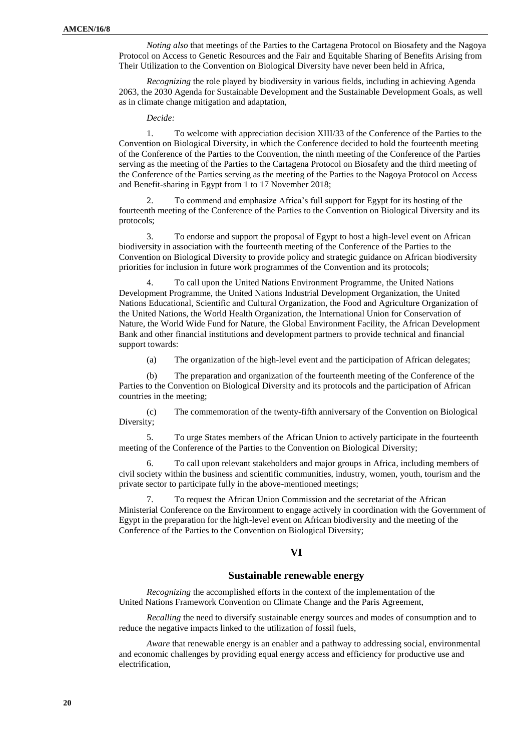*Noting also* that meetings of the Parties to the Cartagena Protocol on Biosafety and the Nagoya Protocol on Access to Genetic Resources and the Fair and Equitable Sharing of Benefits Arising from Their Utilization to the Convention on Biological Diversity have never been held in Africa,

*Recognizing* the role played by biodiversity in various fields, including in achieving Agenda 2063, the 2030 Agenda for Sustainable Development and the Sustainable Development Goals, as well as in climate change mitigation and adaptation,

*Decide:*

1. To welcome with appreciation decision XIII/33 of the Conference of the Parties to the Convention on Biological Diversity, in which the Conference decided to hold the fourteenth meeting of the Conference of the Parties to the Convention, the ninth meeting of the Conference of the Parties serving as the meeting of the Parties to the Cartagena Protocol on Biosafety and the third meeting of the Conference of the Parties serving as the meeting of the Parties to the Nagoya Protocol on Access and Benefit-sharing in Egypt from 1 to 17 November 2018;

2. To commend and emphasize Africa's full support for Egypt for its hosting of the fourteenth meeting of the Conference of the Parties to the Convention on Biological Diversity and its protocols;

3. To endorse and support the proposal of Egypt to host a high-level event on African biodiversity in association with the fourteenth meeting of the Conference of the Parties to the Convention on Biological Diversity to provide policy and strategic guidance on African biodiversity priorities for inclusion in future work programmes of the Convention and its protocols;

4. To call upon the United Nations Environment Programme, the United Nations Development Programme, the United Nations Industrial Development Organization, the United Nations Educational, Scientific and Cultural Organization, the Food and Agriculture Organization of the United Nations, the World Health Organization, the International Union for Conservation of Nature, the World Wide Fund for Nature, the Global Environment Facility, the African Development Bank and other financial institutions and development partners to provide technical and financial support towards:

(a) The organization of the high-level event and the participation of African delegates;

(b) The preparation and organization of the fourteenth meeting of the Conference of the Parties to the Convention on Biological Diversity and its protocols and the participation of African countries in the meeting;

(c) The commemoration of the twenty-fifth anniversary of the Convention on Biological Diversity;

5. To urge States members of the African Union to actively participate in the fourteenth meeting of the Conference of the Parties to the Convention on Biological Diversity;

6. To call upon relevant stakeholders and major groups in Africa, including members of civil society within the business and scientific communities, industry, women, youth, tourism and the private sector to participate fully in the above-mentioned meetings;

7. To request the African Union Commission and the secretariat of the African Ministerial Conference on the Environment to engage actively in coordination with the Government of Egypt in the preparation for the high-level event on African biodiversity and the meeting of the Conference of the Parties to the Convention on Biological Diversity;

#### **VI**

#### **Sustainable renewable energy**

*Recognizing* the accomplished efforts in the context of the implementation of the United Nations Framework Convention on Climate Change and the Paris Agreement,

*Recalling* the need to diversify sustainable energy sources and modes of consumption and to reduce the negative impacts linked to the utilization of fossil fuels,

*Aware* that renewable energy is an enabler and a pathway to addressing social, environmental and economic challenges by providing equal energy access and efficiency for productive use and electrification,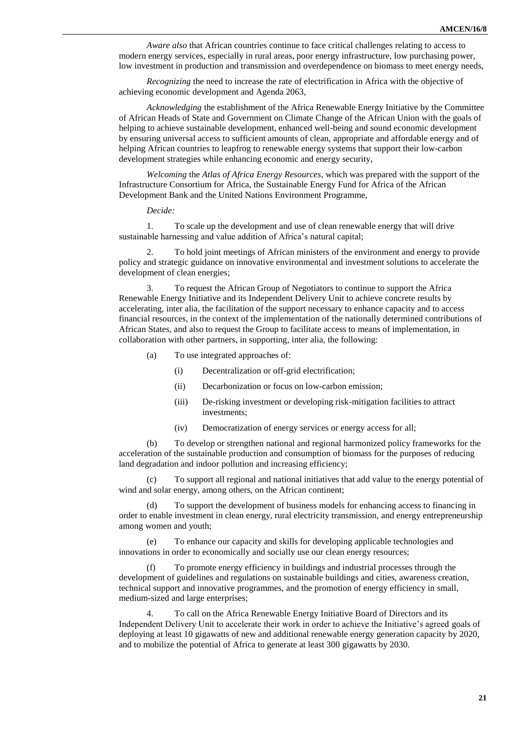*Aware also* that African countries continue to face critical challenges relating to access to modern energy services, especially in rural areas, poor energy infrastructure, low purchasing power, low investment in production and transmission and overdependence on biomass to meet energy needs,

*Recognizing* the need to increase the rate of electrification in Africa with the objective of achieving economic development and Agenda 2063,

*Acknowledging* the establishment of the Africa Renewable Energy Initiative by the Committee of African Heads of State and Government on Climate Change of the African Union with the goals of helping to achieve sustainable development, enhanced well-being and sound economic development by ensuring universal access to sufficient amounts of clean, appropriate and affordable energy and of helping African countries to leapfrog to renewable energy systems that support their low-carbon development strategies while enhancing economic and energy security,

*Welcoming* the *Atlas of Africa Energy Resources*, which was prepared with the support of the Infrastructure Consortium for Africa, the Sustainable Energy Fund for Africa of the African Development Bank and the United Nations Environment Programme,

*Decide:*

1. To scale up the development and use of clean renewable energy that will drive sustainable harnessing and value addition of Africa's natural capital;

2. To hold joint meetings of African ministers of the environment and energy to provide policy and strategic guidance on innovative environmental and investment solutions to accelerate the development of clean energies;

3. To request the African Group of Negotiators to continue to support the Africa Renewable Energy Initiative and its Independent Delivery Unit to achieve concrete results by accelerating, inter alia, the facilitation of the support necessary to enhance capacity and to access financial resources, in the context of the implementation of the nationally determined contributions of African States, and also to request the Group to facilitate access to means of implementation, in collaboration with other partners, in supporting, inter alia, the following:

- (a) To use integrated approaches of:
	- (i) Decentralization or off-grid electrification;
	- (ii) Decarbonization or focus on low-carbon emission;
	- (iii) De-risking investment or developing risk-mitigation facilities to attract investments;
	- (iv) Democratization of energy services or energy access for all;

(b) To develop or strengthen national and regional harmonized policy frameworks for the acceleration of the sustainable production and consumption of biomass for the purposes of reducing land degradation and indoor pollution and increasing efficiency;

(c) To support all regional and national initiatives that add value to the energy potential of wind and solar energy, among others, on the African continent;

(d) To support the development of business models for enhancing access to financing in order to enable investment in clean energy, rural electricity transmission, and energy entrepreneurship among women and youth;

(e) To enhance our capacity and skills for developing applicable technologies and innovations in order to economically and socially use our clean energy resources;

(f) To promote energy efficiency in buildings and industrial processes through the development of guidelines and regulations on sustainable buildings and cities, awareness creation, technical support and innovative programmes, and the promotion of energy efficiency in small, medium-sized and large enterprises;

4. To call on the Africa Renewable Energy Initiative Board of Directors and its Independent Delivery Unit to accelerate their work in order to achieve the Initiative's agreed goals of deploying at least 10 gigawatts of new and additional renewable energy generation capacity by 2020, and to mobilize the potential of Africa to generate at least 300 gigawatts by 2030.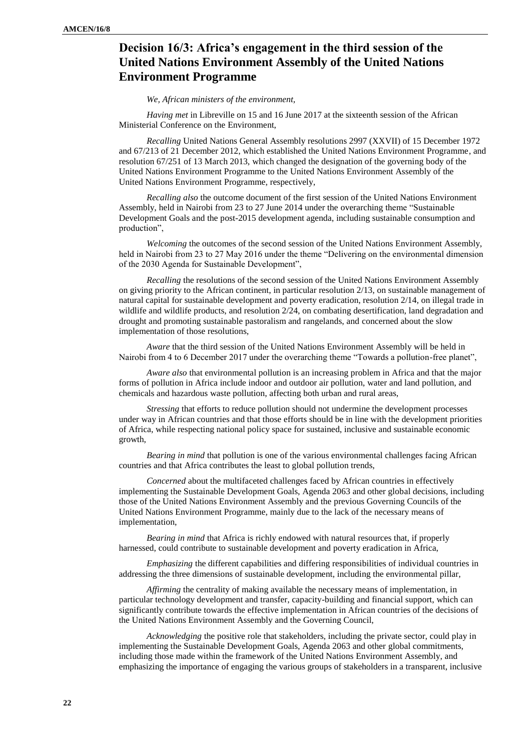# **Decision 16/3: Africa's engagement in the third session of the United Nations Environment Assembly of the United Nations Environment Programme**

#### *We, African ministers of the environment,*

*Having met* in Libreville on 15 and 16 June 2017 at the sixteenth session of the African Ministerial Conference on the Environment,

*Recalling* United Nations General Assembly resolutions 2997 (XXVII) of 15 December 1972 and 67/213 of 21 December 2012, which established the United Nations Environment Programme, and resolution 67/251 of 13 March 2013, which changed the designation of the governing body of the United Nations Environment Programme to the United Nations Environment Assembly of the United Nations Environment Programme, respectively,

*Recalling also* the outcome document of the first session of the United Nations Environment Assembly, held in Nairobi from 23 to 27 June 2014 under the overarching theme "Sustainable Development Goals and the post-2015 development agenda, including sustainable consumption and production",

*Welcoming* the outcomes of the second session of the United Nations Environment Assembly, held in Nairobi from 23 to 27 May 2016 under the theme "Delivering on the environmental dimension of the 2030 Agenda for Sustainable Development",

*Recalling* the resolutions of the second session of the United Nations Environment Assembly on giving priority to the African continent, in particular resolution 2/13, on sustainable management of natural capital for sustainable development and poverty eradication, resolution 2/14, on illegal trade in wildlife and wildlife products, and resolution 2/24, on combating desertification, land degradation and drought and promoting sustainable pastoralism and rangelands, and concerned about the slow implementation of those resolutions,

*Aware* that the third session of the United Nations Environment Assembly will be held in Nairobi from 4 to 6 December 2017 under the overarching theme "Towards a pollution-free planet",

*Aware also* that environmental pollution is an increasing problem in Africa and that the major forms of pollution in Africa include indoor and outdoor air pollution, water and land pollution, and chemicals and hazardous waste pollution, affecting both urban and rural areas,

*Stressing* that efforts to reduce pollution should not undermine the development processes under way in African countries and that those efforts should be in line with the development priorities of Africa, while respecting national policy space for sustained, inclusive and sustainable economic growth,

*Bearing in mind* that pollution is one of the various environmental challenges facing African countries and that Africa contributes the least to global pollution trends,

*Concerned* about the multifaceted challenges faced by African countries in effectively implementing the Sustainable Development Goals, Agenda 2063 and other global decisions, including those of the United Nations Environment Assembly and the previous Governing Councils of the United Nations Environment Programme, mainly due to the lack of the necessary means of implementation,

*Bearing in mind* that Africa is richly endowed with natural resources that, if properly harnessed, could contribute to sustainable development and poverty eradication in Africa,

*Emphasizing* the different capabilities and differing responsibilities of individual countries in addressing the three dimensions of sustainable development, including the environmental pillar,

*Affirming* the centrality of making available the necessary means of implementation, in particular technology development and transfer, capacity-building and financial support, which can significantly contribute towards the effective implementation in African countries of the decisions of the United Nations Environment Assembly and the Governing Council,

*Acknowledging* the positive role that stakeholders, including the private sector, could play in implementing the Sustainable Development Goals, Agenda 2063 and other global commitments, including those made within the framework of the United Nations Environment Assembly, and emphasizing the importance of engaging the various groups of stakeholders in a transparent, inclusive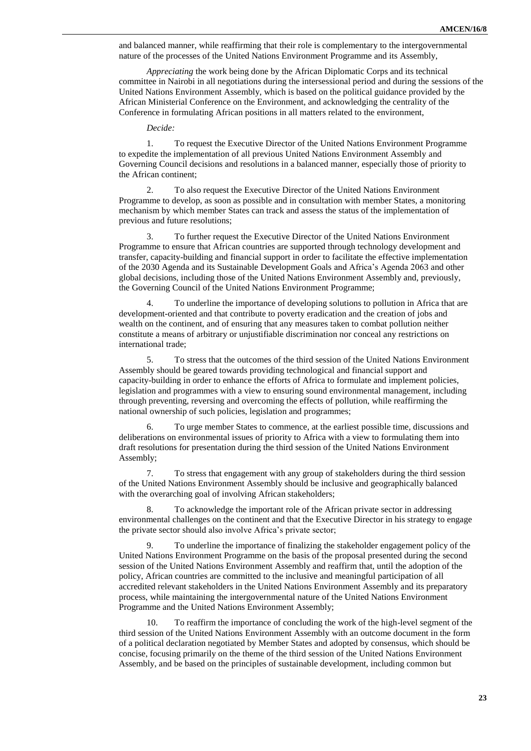and balanced manner, while reaffirming that their role is complementary to the intergovernmental nature of the processes of the United Nations Environment Programme and its Assembly,

*Appreciating* the work being done by the African Diplomatic Corps and its technical committee in Nairobi in all negotiations during the intersessional period and during the sessions of the United Nations Environment Assembly, which is based on the political guidance provided by the African Ministerial Conference on the Environment, and acknowledging the centrality of the Conference in formulating African positions in all matters related to the environment,

*Decide:*

1. To request the Executive Director of the United Nations Environment Programme to expedite the implementation of all previous United Nations Environment Assembly and Governing Council decisions and resolutions in a balanced manner, especially those of priority to the African continent;

2. To also request the Executive Director of the United Nations Environment Programme to develop, as soon as possible and in consultation with member States, a monitoring mechanism by which member States can track and assess the status of the implementation of previous and future resolutions;

3. To further request the Executive Director of the United Nations Environment Programme to ensure that African countries are supported through technology development and transfer, capacity-building and financial support in order to facilitate the effective implementation of the 2030 Agenda and its Sustainable Development Goals and Africa's Agenda 2063 and other global decisions, including those of the United Nations Environment Assembly and, previously, the Governing Council of the United Nations Environment Programme;

4. To underline the importance of developing solutions to pollution in Africa that are development-oriented and that contribute to poverty eradication and the creation of jobs and wealth on the continent, and of ensuring that any measures taken to combat pollution neither constitute a means of arbitrary or unjustifiable discrimination nor conceal any restrictions on international trade;

5. To stress that the outcomes of the third session of the United Nations Environment Assembly should be geared towards providing technological and financial support and capacity-building in order to enhance the efforts of Africa to formulate and implement policies, legislation and programmes with a view to ensuring sound environmental management, including through preventing, reversing and overcoming the effects of pollution, while reaffirming the national ownership of such policies, legislation and programmes;

6. To urge member States to commence, at the earliest possible time, discussions and deliberations on environmental issues of priority to Africa with a view to formulating them into draft resolutions for presentation during the third session of the United Nations Environment Assembly;

7. To stress that engagement with any group of stakeholders during the third session of the United Nations Environment Assembly should be inclusive and geographically balanced with the overarching goal of involving African stakeholders;

8. To acknowledge the important role of the African private sector in addressing environmental challenges on the continent and that the Executive Director in his strategy to engage the private sector should also involve Africa's private sector;

9. To underline the importance of finalizing the stakeholder engagement policy of the United Nations Environment Programme on the basis of the proposal presented during the second session of the United Nations Environment Assembly and reaffirm that, until the adoption of the policy, African countries are committed to the inclusive and meaningful participation of all accredited relevant stakeholders in the United Nations Environment Assembly and its preparatory process, while maintaining the intergovernmental nature of the United Nations Environment Programme and the United Nations Environment Assembly;

10. To reaffirm the importance of concluding the work of the high-level segment of the third session of the United Nations Environment Assembly with an outcome document in the form of a political declaration negotiated by Member States and adopted by consensus, which should be concise, focusing primarily on the theme of the third session of the United Nations Environment Assembly, and be based on the principles of sustainable development, including common but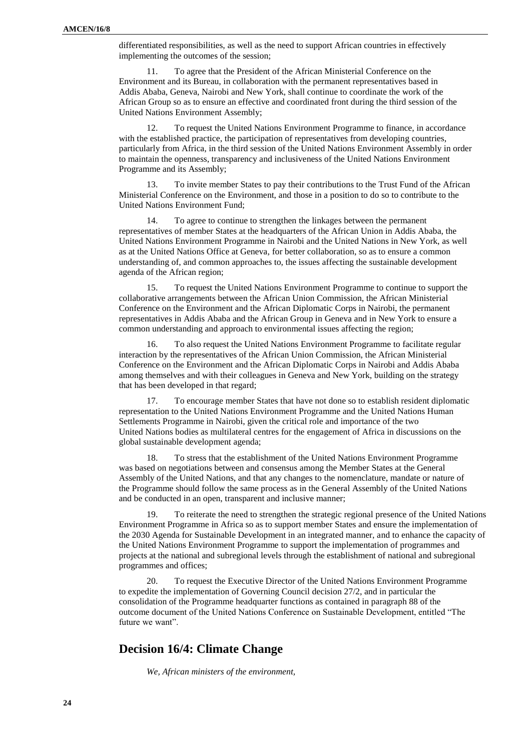differentiated responsibilities, as well as the need to support African countries in effectively implementing the outcomes of the session;

11. To agree that the President of the African Ministerial Conference on the Environment and its Bureau, in collaboration with the permanent representatives based in Addis Ababa, Geneva, Nairobi and New York, shall continue to coordinate the work of the African Group so as to ensure an effective and coordinated front during the third session of the United Nations Environment Assembly;

12. To request the United Nations Environment Programme to finance, in accordance with the established practice, the participation of representatives from developing countries, particularly from Africa, in the third session of the United Nations Environment Assembly in order to maintain the openness, transparency and inclusiveness of the United Nations Environment Programme and its Assembly;

13. To invite member States to pay their contributions to the Trust Fund of the African Ministerial Conference on the Environment, and those in a position to do so to contribute to the United Nations Environment Fund;

14. To agree to continue to strengthen the linkages between the permanent representatives of member States at the headquarters of the African Union in Addis Ababa, the United Nations Environment Programme in Nairobi and the United Nations in New York, as well as at the United Nations Office at Geneva, for better collaboration, so as to ensure a common understanding of, and common approaches to, the issues affecting the sustainable development agenda of the African region;

15. To request the United Nations Environment Programme to continue to support the collaborative arrangements between the African Union Commission, the African Ministerial Conference on the Environment and the African Diplomatic Corps in Nairobi, the permanent representatives in Addis Ababa and the African Group in Geneva and in New York to ensure a common understanding and approach to environmental issues affecting the region;

16. To also request the United Nations Environment Programme to facilitate regular interaction by the representatives of the African Union Commission, the African Ministerial Conference on the Environment and the African Diplomatic Corps in Nairobi and Addis Ababa among themselves and with their colleagues in Geneva and New York, building on the strategy that has been developed in that regard;

17. To encourage member States that have not done so to establish resident diplomatic representation to the United Nations Environment Programme and the United Nations Human Settlements Programme in Nairobi, given the critical role and importance of the two United Nations bodies as multilateral centres for the engagement of Africa in discussions on the global sustainable development agenda;

18. To stress that the establishment of the United Nations Environment Programme was based on negotiations between and consensus among the Member States at the General Assembly of the United Nations, and that any changes to the nomenclature, mandate or nature of the Programme should follow the same process as in the General Assembly of the United Nations and be conducted in an open, transparent and inclusive manner;

19. To reiterate the need to strengthen the strategic regional presence of the United Nations Environment Programme in Africa so as to support member States and ensure the implementation of the 2030 Agenda for Sustainable Development in an integrated manner, and to enhance the capacity of the United Nations Environment Programme to support the implementation of programmes and projects at the national and subregional levels through the establishment of national and subregional programmes and offices;

20. To request the Executive Director of the United Nations Environment Programme to expedite the implementation of Governing Council decision 27/2, and in particular the consolidation of the Programme headquarter functions as contained in paragraph 88 of the outcome document of the United Nations Conference on Sustainable Development, entitled "The future we want".

## **Decision 16/4: Climate Change**

*We, African ministers of the environment,*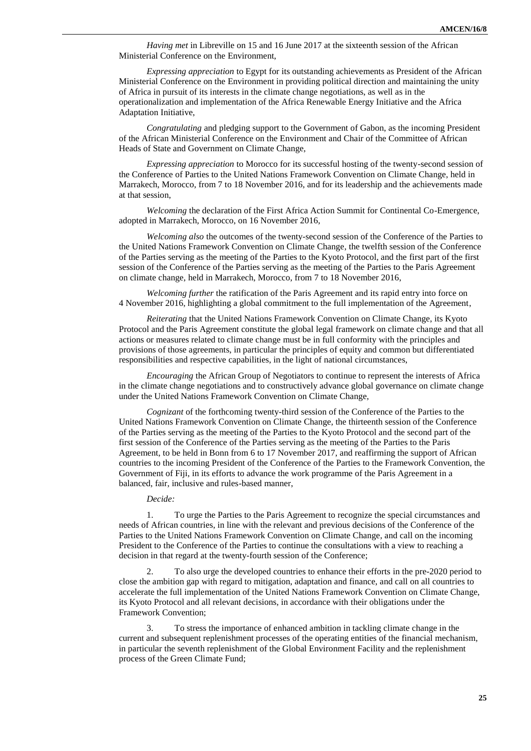*Having met* in Libreville on 15 and 16 June 2017 at the sixteenth session of the African Ministerial Conference on the Environment,

*Expressing appreciation* to Egypt for its outstanding achievements as President of the African Ministerial Conference on the Environment in providing political direction and maintaining the unity of Africa in pursuit of its interests in the climate change negotiations, as well as in the operationalization and implementation of the Africa Renewable Energy Initiative and the Africa Adaptation Initiative,

*Congratulating* and pledging support to the Government of Gabon, as the incoming President of the African Ministerial Conference on the Environment and Chair of the Committee of African Heads of State and Government on Climate Change,

*Expressing appreciation* to Morocco for its successful hosting of the twenty-second session of the Conference of Parties to the United Nations Framework Convention on Climate Change, held in Marrakech, Morocco, from 7 to 18 November 2016, and for its leadership and the achievements made at that session,

*Welcoming* the declaration of the First Africa Action Summit for Continental Co-Emergence, adopted in Marrakech, Morocco, on 16 November 2016,

*Welcoming also* the outcomes of the twenty-second session of the Conference of the Parties to the United Nations Framework Convention on Climate Change, the twelfth session of the Conference of the Parties serving as the meeting of the Parties to the Kyoto Protocol, and the first part of the first session of the Conference of the Parties serving as the meeting of the Parties to the Paris Agreement on climate change, held in Marrakech, Morocco, from 7 to 18 November 2016,

*Welcoming further* the ratification of the Paris Agreement and its rapid entry into force on 4 November 2016, highlighting a global commitment to the full implementation of the Agreement,

*Reiterating* that the United Nations Framework Convention on Climate Change, its Kyoto Protocol and the Paris Agreement constitute the global legal framework on climate change and that all actions or measures related to climate change must be in full conformity with the principles and provisions of those agreements, in particular the principles of equity and common but differentiated responsibilities and respective capabilities, in the light of national circumstances,

*Encouraging* the African Group of Negotiators to continue to represent the interests of Africa in the climate change negotiations and to constructively advance global governance on climate change under the United Nations Framework Convention on Climate Change,

*Cognizant* of the forthcoming twenty-third session of the Conference of the Parties to the United Nations Framework Convention on Climate Change, the thirteenth session of the Conference of the Parties serving as the meeting of the Parties to the Kyoto Protocol and the second part of the first session of the Conference of the Parties serving as the meeting of the Parties to the Paris Agreement, to be held in Bonn from 6 to 17 November 2017, and reaffirming the support of African countries to the incoming President of the Conference of the Parties to the Framework Convention, the Government of Fiji, in its efforts to advance the work programme of the Paris Agreement in a balanced, fair, inclusive and rules-based manner,

*Decide:*

1. To urge the Parties to the Paris Agreement to recognize the special circumstances and needs of African countries, in line with the relevant and previous decisions of the Conference of the Parties to the United Nations Framework Convention on Climate Change, and call on the incoming President to the Conference of the Parties to continue the consultations with a view to reaching a decision in that regard at the twenty-fourth session of the Conference;

2. To also urge the developed countries to enhance their efforts in the pre-2020 period to close the ambition gap with regard to mitigation, adaptation and finance, and call on all countries to accelerate the full implementation of the United Nations Framework Convention on Climate Change, its Kyoto Protocol and all relevant decisions, in accordance with their obligations under the Framework Convention;

3. To stress the importance of enhanced ambition in tackling climate change in the current and subsequent replenishment processes of the operating entities of the financial mechanism, in particular the seventh replenishment of the Global Environment Facility and the replenishment process of the Green Climate Fund;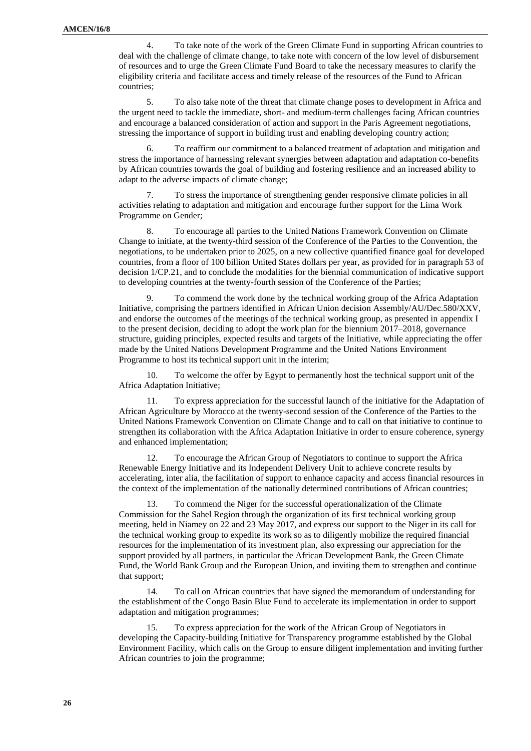4. To take note of the work of the Green Climate Fund in supporting African countries to deal with the challenge of climate change, to take note with concern of the low level of disbursement of resources and to urge the Green Climate Fund Board to take the necessary measures to clarify the eligibility criteria and facilitate access and timely release of the resources of the Fund to African countries;

5. To also take note of the threat that climate change poses to development in Africa and the urgent need to tackle the immediate, short- and medium-term challenges facing African countries and encourage a balanced consideration of action and support in the Paris Agreement negotiations, stressing the importance of support in building trust and enabling developing country action;

6. To reaffirm our commitment to a balanced treatment of adaptation and mitigation and stress the importance of harnessing relevant synergies between adaptation and adaptation co-benefits by African countries towards the goal of building and fostering resilience and an increased ability to adapt to the adverse impacts of climate change;

7. To stress the importance of strengthening gender responsive climate policies in all activities relating to adaptation and mitigation and encourage further support for the Lima Work Programme on Gender;

8. To encourage all parties to the United Nations Framework Convention on Climate Change to initiate, at the twenty-third session of the Conference of the Parties to the Convention, the negotiations, to be undertaken prior to 2025, on a new collective quantified finance goal for developed countries, from a floor of 100 billion United States dollars per year, as provided for in paragraph 53 of decision 1/CP.21, and to conclude the modalities for the biennial communication of indicative support to developing countries at the twenty-fourth session of the Conference of the Parties;

9. To commend the work done by the technical working group of the Africa Adaptation Initiative, comprising the partners identified in African Union decision Assembly/AU/Dec.580/XXV, and endorse the outcomes of the meetings of the technical working group, as presented in appendix I to the present decision, deciding to adopt the work plan for the biennium 2017–2018, governance structure, guiding principles, expected results and targets of the Initiative, while appreciating the offer made by the United Nations Development Programme and the United Nations Environment Programme to host its technical support unit in the interim;

10. To welcome the offer by Egypt to permanently host the technical support unit of the Africa Adaptation Initiative;

11. To express appreciation for the successful launch of the initiative for the Adaptation of African Agriculture by Morocco at the twenty-second session of the Conference of the Parties to the United Nations Framework Convention on Climate Change and to call on that initiative to continue to strengthen its collaboration with the Africa Adaptation Initiative in order to ensure coherence, synergy and enhanced implementation;

12. To encourage the African Group of Negotiators to continue to support the Africa Renewable Energy Initiative and its Independent Delivery Unit to achieve concrete results by accelerating, inter alia, the facilitation of support to enhance capacity and access financial resources in the context of the implementation of the nationally determined contributions of African countries;

13. To commend the Niger for the successful operationalization of the Climate Commission for the Sahel Region through the organization of its first technical working group meeting, held in Niamey on 22 and 23 May 2017, and express our support to the Niger in its call for the technical working group to expedite its work so as to diligently mobilize the required financial resources for the implementation of its investment plan, also expressing our appreciation for the support provided by all partners, in particular the African Development Bank, the Green Climate Fund, the World Bank Group and the European Union, and inviting them to strengthen and continue that support;

14. To call on African countries that have signed the memorandum of understanding for the establishment of the Congo Basin Blue Fund to accelerate its implementation in order to support adaptation and mitigation programmes;

15. To express appreciation for the work of the African Group of Negotiators in developing the Capacity-building Initiative for Transparency programme established by the Global Environment Facility, which calls on the Group to ensure diligent implementation and inviting further African countries to join the programme;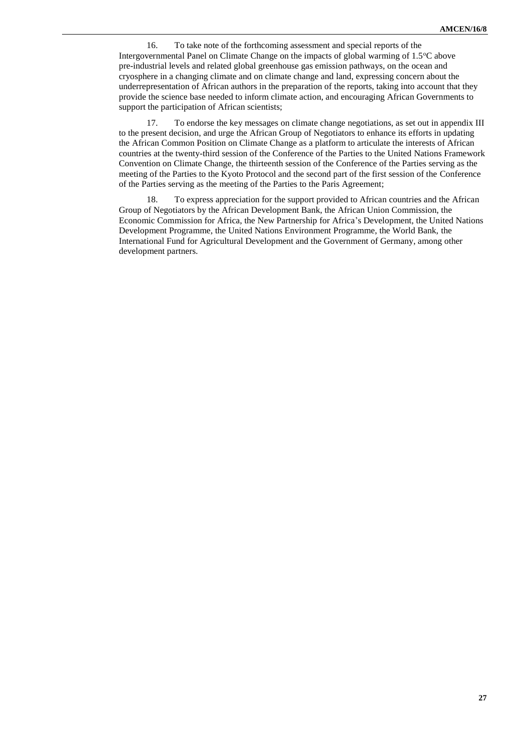16. To take note of the forthcoming assessment and special reports of the Intergovernmental Panel on Climate Change on the impacts of global warming of  $1.5^{\circ}$ C above pre-industrial levels and related global greenhouse gas emission pathways, on the ocean and cryosphere in a changing climate and on climate change and land, expressing concern about the underrepresentation of African authors in the preparation of the reports, taking into account that they provide the science base needed to inform climate action, and encouraging African Governments to support the participation of African scientists;

17. To endorse the key messages on climate change negotiations, as set out in appendix III to the present decision, and urge the African Group of Negotiators to enhance its efforts in updating the African Common Position on Climate Change as a platform to articulate the interests of African countries at the twenty-third session of the Conference of the Parties to the United Nations Framework Convention on Climate Change, the thirteenth session of the Conference of the Parties serving as the meeting of the Parties to the Kyoto Protocol and the second part of the first session of the Conference of the Parties serving as the meeting of the Parties to the Paris Agreement;

18. To express appreciation for the support provided to African countries and the African Group of Negotiators by the African Development Bank, the African Union Commission, the Economic Commission for Africa, the New Partnership for Africa's Development, the United Nations Development Programme, the United Nations Environment Programme, the World Bank, the International Fund for Agricultural Development and the Government of Germany, among other development partners.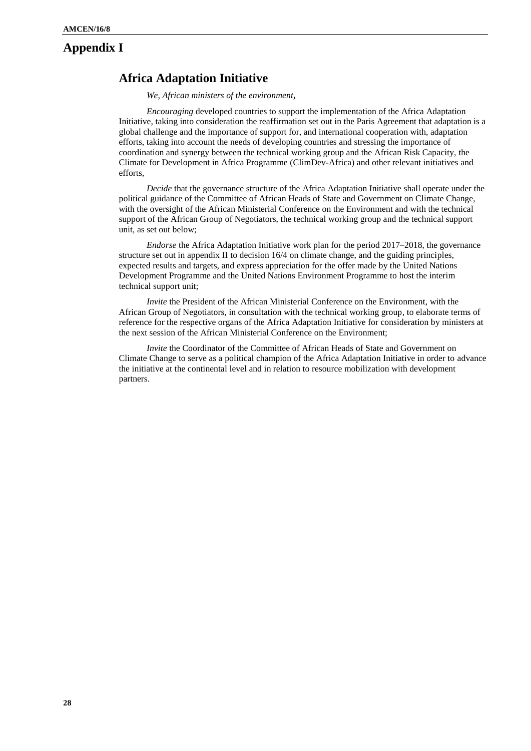## **Appendix I**

# **Africa Adaptation Initiative**

*We, African ministers of the environment***,**

*Encouraging* developed countries to support the implementation of the Africa Adaptation Initiative, taking into consideration the reaffirmation set out in the Paris Agreement that adaptation is a global challenge and the importance of support for, and international cooperation with, adaptation efforts, taking into account the needs of developing countries and stressing the importance of coordination and synergy between the technical working group and the African Risk Capacity, the Climate for Development in Africa Programme (ClimDev-Africa) and other relevant initiatives and efforts,

*Decide* that the governance structure of the Africa Adaptation Initiative shall operate under the political guidance of the Committee of African Heads of State and Government on Climate Change, with the oversight of the African Ministerial Conference on the Environment and with the technical support of the African Group of Negotiators, the technical working group and the technical support unit, as set out below;

*Endorse* the Africa Adaptation Initiative work plan for the period 2017–2018, the governance structure set out in appendix II to decision 16/4 on climate change, and the guiding principles, expected results and targets, and express appreciation for the offer made by the United Nations Development Programme and the United Nations Environment Programme to host the interim technical support unit;

*Invite* the President of the African Ministerial Conference on the Environment, with the African Group of Negotiators, in consultation with the technical working group, to elaborate terms of reference for the respective organs of the Africa Adaptation Initiative for consideration by ministers at the next session of the African Ministerial Conference on the Environment;

*Invite* the Coordinator of the Committee of African Heads of State and Government on Climate Change to serve as a political champion of the Africa Adaptation Initiative in order to advance the initiative at the continental level and in relation to resource mobilization with development partners.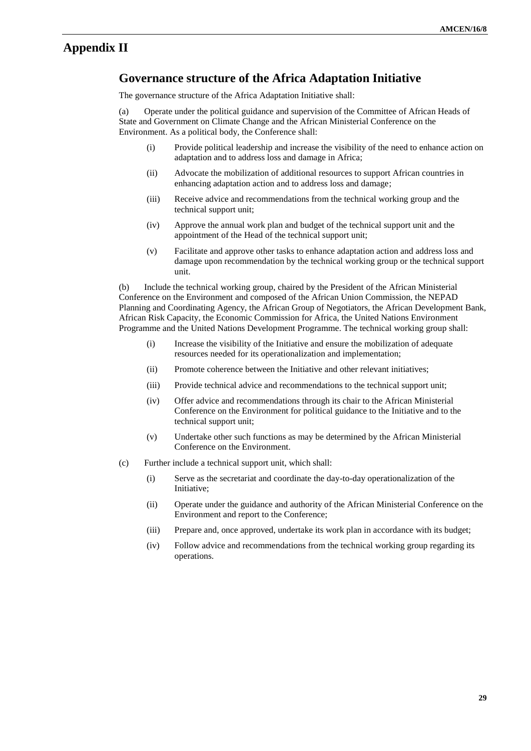# **Appendix II**

## **Governance structure of the Africa Adaptation Initiative**

The governance structure of the Africa Adaptation Initiative shall:

(a) Operate under the political guidance and supervision of the Committee of African Heads of State and Government on Climate Change and the African Ministerial Conference on the Environment. As a political body, the Conference shall:

- (i) Provide political leadership and increase the visibility of the need to enhance action on adaptation and to address loss and damage in Africa;
- (ii) Advocate the mobilization of additional resources to support African countries in enhancing adaptation action and to address loss and damage;
- (iii) Receive advice and recommendations from the technical working group and the technical support unit;
- (iv) Approve the annual work plan and budget of the technical support unit and the appointment of the Head of the technical support unit;
- (v) Facilitate and approve other tasks to enhance adaptation action and address loss and damage upon recommendation by the technical working group or the technical support unit.

(b) Include the technical working group, chaired by the President of the African Ministerial Conference on the Environment and composed of the African Union Commission, the NEPAD Planning and Coordinating Agency, the African Group of Negotiators, the African Development Bank, African Risk Capacity, the Economic Commission for Africa, the United Nations Environment Programme and the United Nations Development Programme. The technical working group shall:

- (i) Increase the visibility of the Initiative and ensure the mobilization of adequate resources needed for its operationalization and implementation;
- (ii) Promote coherence between the Initiative and other relevant initiatives;
- (iii) Provide technical advice and recommendations to the technical support unit;
- (iv) Offer advice and recommendations through its chair to the African Ministerial Conference on the Environment for political guidance to the Initiative and to the technical support unit;
- (v) Undertake other such functions as may be determined by the African Ministerial Conference on the Environment.
- (c) Further include a technical support unit, which shall:
	- (i) Serve as the secretariat and coordinate the day-to-day operationalization of the Initiative;
	- (ii) Operate under the guidance and authority of the African Ministerial Conference on the Environment and report to the Conference;
	- (iii) Prepare and, once approved, undertake its work plan in accordance with its budget;
	- (iv) Follow advice and recommendations from the technical working group regarding its operations.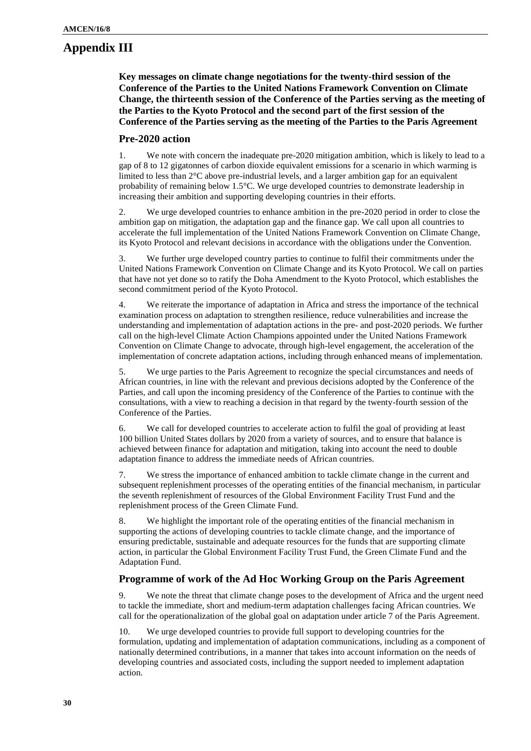# **Appendix III**

**Key messages on climate change negotiations for the twenty-third session of the Conference of the Parties to the United Nations Framework Convention on Climate Change, the thirteenth session of the Conference of the Parties serving as the meeting of the Parties to the Kyoto Protocol and the second part of the first session of the Conference of the Parties serving as the meeting of the Parties to the Paris Agreement**

#### **Pre-2020 action**

1. We note with concern the inadequate pre-2020 mitigation ambition, which is likely to lead to a gap of 8 to 12 gigatonnes of carbon dioxide equivalent emissions for a scenario in which warming is limited to less than  $2^{\circ}C$  above pre-industrial levels, and a larger ambition gap for an equivalent probability of remaining below 1.5°C. We urge developed countries to demonstrate leadership in increasing their ambition and supporting developing countries in their efforts.

2. We urge developed countries to enhance ambition in the pre-2020 period in order to close the ambition gap on mitigation, the adaptation gap and the finance gap. We call upon all countries to accelerate the full implementation of the United Nations Framework Convention on Climate Change, its Kyoto Protocol and relevant decisions in accordance with the obligations under the Convention.

3. We further urge developed country parties to continue to fulfil their commitments under the United Nations Framework Convention on Climate Change and its Kyoto Protocol. We call on parties that have not yet done so to ratify the Doha Amendment to the Kyoto Protocol, which establishes the second commitment period of the Kyoto Protocol.

4. We reiterate the importance of adaptation in Africa and stress the importance of the technical examination process on adaptation to strengthen resilience, reduce vulnerabilities and increase the understanding and implementation of adaptation actions in the pre- and post-2020 periods. We further call on the high-level Climate Action Champions appointed under the United Nations Framework Convention on Climate Change to advocate, through high-level engagement, the acceleration of the implementation of concrete adaptation actions, including through enhanced means of implementation.

5. We urge parties to the Paris Agreement to recognize the special circumstances and needs of African countries, in line with the relevant and previous decisions adopted by the Conference of the Parties, and call upon the incoming presidency of the Conference of the Parties to continue with the consultations, with a view to reaching a decision in that regard by the twenty-fourth session of the Conference of the Parties.

6. We call for developed countries to accelerate action to fulfil the goal of providing at least 100 billion United States dollars by 2020 from a variety of sources, and to ensure that balance is achieved between finance for adaptation and mitigation, taking into account the need to double adaptation finance to address the immediate needs of African countries.

7. We stress the importance of enhanced ambition to tackle climate change in the current and subsequent replenishment processes of the operating entities of the financial mechanism, in particular the seventh replenishment of resources of the Global Environment Facility Trust Fund and the replenishment process of the Green Climate Fund.

8. We highlight the important role of the operating entities of the financial mechanism in supporting the actions of developing countries to tackle climate change, and the importance of ensuring predictable, sustainable and adequate resources for the funds that are supporting climate action, in particular the Global Environment Facility Trust Fund, the Green Climate Fund and the Adaptation Fund.

#### **Programme of work of the Ad Hoc Working Group on the Paris Agreement**

9. We note the threat that climate change poses to the development of Africa and the urgent need to tackle the immediate, short and medium-term adaptation challenges facing African countries. We call for the operationalization of the global goal on adaptation under article 7 of the Paris Agreement.

10. We urge developed countries to provide full support to developing countries for the formulation, updating and implementation of adaptation communications, including as a component of nationally determined contributions, in a manner that takes into account information on the needs of developing countries and associated costs, including the support needed to implement adaptation action.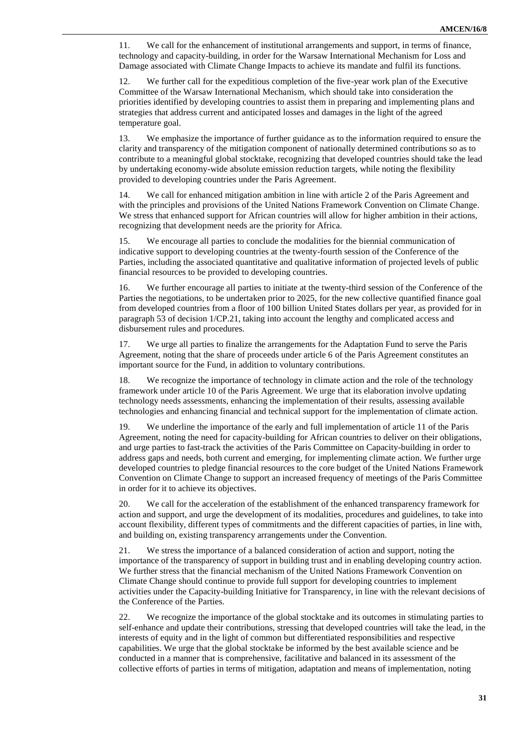11. We call for the enhancement of institutional arrangements and support, in terms of finance, technology and capacity-building, in order for the Warsaw International Mechanism for Loss and Damage associated with Climate Change Impacts to achieve its mandate and fulfil its functions.

12. We further call for the expeditious completion of the five-year work plan of the Executive Committee of the Warsaw International Mechanism, which should take into consideration the priorities identified by developing countries to assist them in preparing and implementing plans and strategies that address current and anticipated losses and damages in the light of the agreed temperature goal.

13. We emphasize the importance of further guidance as to the information required to ensure the clarity and transparency of the mitigation component of nationally determined contributions so as to contribute to a meaningful global stocktake, recognizing that developed countries should take the lead by undertaking economy-wide absolute emission reduction targets, while noting the flexibility provided to developing countries under the Paris Agreement.

14. We call for enhanced mitigation ambition in line with article 2 of the Paris Agreement and with the principles and provisions of the United Nations Framework Convention on Climate Change. We stress that enhanced support for African countries will allow for higher ambition in their actions, recognizing that development needs are the priority for Africa.

15. We encourage all parties to conclude the modalities for the biennial communication of indicative support to developing countries at the twenty-fourth session of the Conference of the Parties, including the associated quantitative and qualitative information of projected levels of public financial resources to be provided to developing countries.

16. We further encourage all parties to initiate at the twenty-third session of the Conference of the Parties the negotiations, to be undertaken prior to 2025, for the new collective quantified finance goal from developed countries from a floor of 100 billion United States dollars per year, as provided for in paragraph 53 of decision 1/CP.21, taking into account the lengthy and complicated access and disbursement rules and procedures.

17. We urge all parties to finalize the arrangements for the Adaptation Fund to serve the Paris Agreement, noting that the share of proceeds under article 6 of the Paris Agreement constitutes an important source for the Fund, in addition to voluntary contributions.

18. We recognize the importance of technology in climate action and the role of the technology framework under article 10 of the Paris Agreement. We urge that its elaboration involve updating technology needs assessments, enhancing the implementation of their results, assessing available technologies and enhancing financial and technical support for the implementation of climate action.

19. We underline the importance of the early and full implementation of article 11 of the Paris Agreement, noting the need for capacity-building for African countries to deliver on their obligations, and urge parties to fast-track the activities of the Paris Committee on Capacity-building in order to address gaps and needs, both current and emerging, for implementing climate action. We further urge developed countries to pledge financial resources to the core budget of the United Nations Framework Convention on Climate Change to support an increased frequency of meetings of the Paris Committee in order for it to achieve its objectives.

20. We call for the acceleration of the establishment of the enhanced transparency framework for action and support, and urge the development of its modalities, procedures and guidelines, to take into account flexibility, different types of commitments and the different capacities of parties, in line with, and building on, existing transparency arrangements under the Convention.

21. We stress the importance of a balanced consideration of action and support, noting the importance of the transparency of support in building trust and in enabling developing country action. We further stress that the financial mechanism of the United Nations Framework Convention on Climate Change should continue to provide full support for developing countries to implement activities under the Capacity-building Initiative for Transparency, in line with the relevant decisions of the Conference of the Parties.

22. We recognize the importance of the global stocktake and its outcomes in stimulating parties to self-enhance and update their contributions, stressing that developed countries will take the lead, in the interests of equity and in the light of common but differentiated responsibilities and respective capabilities. We urge that the global stocktake be informed by the best available science and be conducted in a manner that is comprehensive, facilitative and balanced in its assessment of the collective efforts of parties in terms of mitigation, adaptation and means of implementation, noting